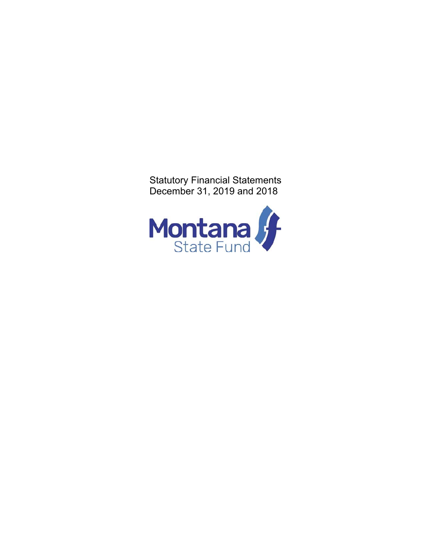# Statutory Financial Statements December 31, 2019 and 2018

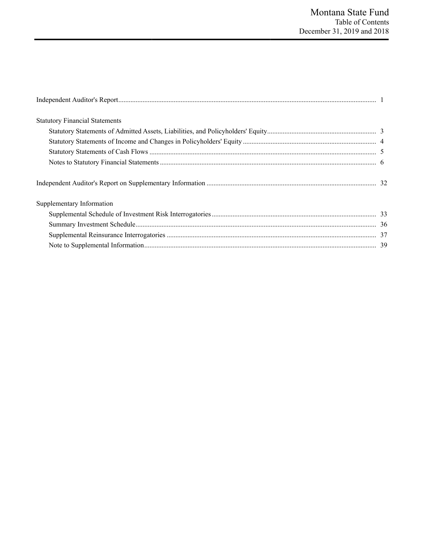| <b>Statutory Financial Statements</b> |  |
|---------------------------------------|--|
|                                       |  |
|                                       |  |
|                                       |  |
|                                       |  |
|                                       |  |
| Supplementary Information             |  |
|                                       |  |
|                                       |  |
|                                       |  |
|                                       |  |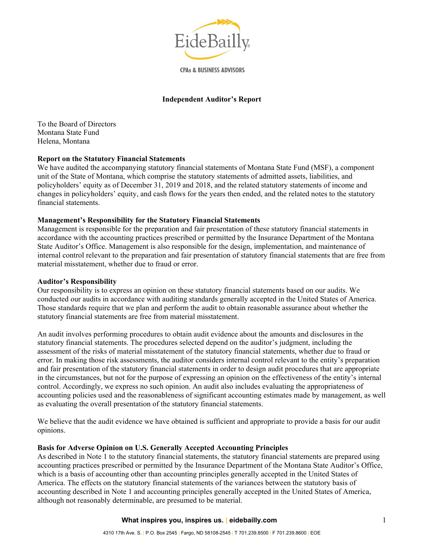

**CPAs & BUSINESS ADVISORS** 

#### **Independent Auditor's Report**

To the Board of Directors Montana State Fund Helena, Montana

#### **Report on the Statutory Financial Statements**

We have audited the accompanying statutory financial statements of Montana State Fund (MSF), a component unit of the State of Montana, which comprise the statutory statements of admitted assets, liabilities, and policyholders' equity as of December 31, 2019 and 2018, and the related statutory statements of income and changes in policyholders' equity, and cash flows for the years then ended, and the related notes to the statutory financial statements.

#### **Management's Responsibility for the Statutory Financial Statements**

Management is responsible for the preparation and fair presentation of these statutory financial statements in accordance with the accounting practices prescribed or permitted by the Insurance Department of the Montana State Auditor's Office. Management is also responsible for the design, implementation, and maintenance of internal control relevant to the preparation and fair presentation of statutory financial statements that are free from material misstatement, whether due to fraud or error.

#### **Auditor's Responsibility**

Our responsibility is to express an opinion on these statutory financial statements based on our audits. We conducted our audits in accordance with auditing standards generally accepted in the United States of America. Those standards require that we plan and perform the audit to obtain reasonable assurance about whether the statutory financial statements are free from material misstatement.

An audit involves performing procedures to obtain audit evidence about the amounts and disclosures in the statutory financial statements. The procedures selected depend on the auditor's judgment, including the assessment of the risks of material misstatement of the statutory financial statements, whether due to fraud or error. In making those risk assessments, the auditor considers internal control relevant to the entity's preparation and fair presentation of the statutory financial statements in order to design audit procedures that are appropriate in the circumstances, but not for the purpose of expressing an opinion on the effectiveness of the entity's internal control. Accordingly, we express no such opinion. An audit also includes evaluating the appropriateness of accounting policies used and the reasonableness of significant accounting estimates made by management, as well as evaluating the overall presentation of the statutory financial statements.

We believe that the audit evidence we have obtained is sufficient and appropriate to provide a basis for our audit opinions.

#### **Basis for Adverse Opinion on U.S. Generally Accepted Accounting Principles**

As described in Note 1 to the statutory financial statements, the statutory financial statements are prepared using accounting practices prescribed or permitted by the Insurance Department of the Montana State Auditor's Office, which is a basis of accounting other than accounting principles generally accepted in the United States of America. The effects on the statutory financial statements of the variances between the statutory basis of accounting described in Note 1 and accounting principles generally accepted in the United States of America, although not reasonably determinable, are presumed to be material.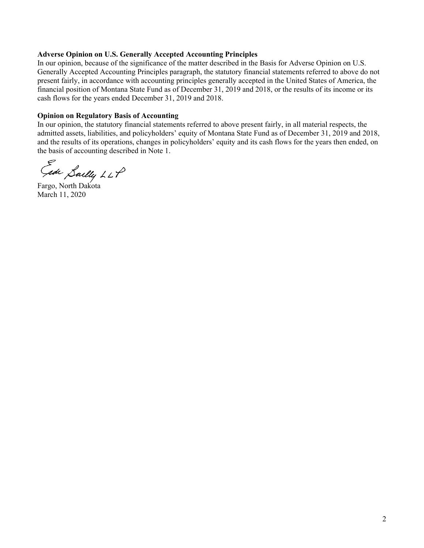#### **Adverse Opinion on U.S. Generally Accepted Accounting Principles**

In our opinion, because of the significance of the matter described in the Basis for Adverse Opinion on U.S. Generally Accepted Accounting Principles paragraph, the statutory financial statements referred to above do not present fairly, in accordance with accounting principles generally accepted in the United States of America, the financial position of Montana State Fund as of December 31, 2019 and 2018, or the results of its income or its cash flows for the years ended December 31, 2019 and 2018.

#### **Opinion on Regulatory Basis of Accounting**

In our opinion, the statutory financial statements referred to above present fairly, in all material respects, the admitted assets, liabilities, and policyholders' equity of Montana State Fund as of December 31, 2019 and 2018, and the results of its operations, changes in policyholders' equity and its cash flows for the years then ended, on the basis of accounting described in Note 1.

Gide Sailly LLP

Fargo, North Dakota March 11, 2020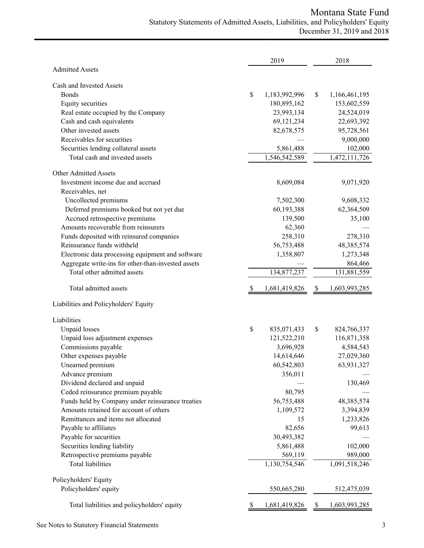|                                                    | 2019                | 2018                |
|----------------------------------------------------|---------------------|---------------------|
| <b>Admitted Assets</b>                             |                     |                     |
| Cash and Invested Assets                           |                     |                     |
| <b>Bonds</b>                                       | \$<br>1,183,992,996 | \$<br>1,166,461,195 |
| Equity securities                                  | 180,895,162         | 153,602,559         |
| Real estate occupied by the Company                | 23,993,134          | 24,524,019          |
| Cash and cash equivalents                          | 69,121,234          | 22,693,392          |
| Other invested assets                              | 82,678,575          | 95,728,561          |
| Receivables for securities                         |                     | 9,000,000           |
| Securities lending collateral assets               | 5,861,488           | 102,000             |
| Total cash and invested assets                     | 1,546,542,589       | 1,472,111,726       |
| <b>Other Admitted Assets</b>                       |                     |                     |
| Investment income due and accrued                  | 8,609,084           | 9,071,920           |
| Receivables, net                                   |                     |                     |
| Uncollected premiums                               | 7,502,300           | 9,608,332           |
| Deferred premiums booked but not yet due           | 60,193,388          | 62,364,509          |
| Accrued retrospective premiums                     | 139,500             | 35,100              |
| Amounts recoverable from reinsurers                | 62,360              |                     |
| Funds deposited with reinsured companies           | 258,310             | 278,310             |
| Reinsurance funds withheld                         | 56,753,488          | 48,385,574          |
| Electronic data processing equipment and software  | 1,358,807           | 1,273,348           |
| Aggregate write-ins for other-than-invested assets |                     | 864,466             |
| Total other admitted assets                        | 134,877,237         | 131,881,559         |
| Total admitted assets                              | 1,681,419,826<br>\$ | 1,603,993,285<br>\$ |
| Liabilities and Policyholders' Equity              |                     |                     |
|                                                    |                     |                     |
| Liabilities                                        |                     |                     |
| <b>Unpaid losses</b>                               | \$<br>835,071,433   | \$<br>824,766,337   |
| Unpaid loss adjustment expenses                    | 121,522,210         | 116,871,358         |
| Commissions payable                                | 3,696,928           | 4,584,543           |
| Other expenses payable                             | 14,614,646          | 27,029,360          |
| Unearned premium                                   | 60,542,803          | 63,931,327          |
| Advance premium<br>Dividend declared and unpaid    | 356,011             | 130,469             |
| Ceded reinsurance premium payable                  | 80,795              |                     |
| Funds held by Company under reinsurance treaties   | 56,753,488          |                     |
| Amounts retained for account of others             | 1,109,572           | 48, 385, 574        |
| Remittances and items not allocated                | 15                  | 3,394,839           |
| Payable to affiliates                              | 82,656              | 1,233,826<br>99,613 |
| Payable for securities                             | 30,493,382          |                     |
| Securities lending liability                       | 5,861,488           |                     |
| Retrospective premiums payable                     | 569,119             | 102,000<br>989,000  |
| <b>Total liabilities</b>                           | 1,130,754,546       | 1,091,518,246       |
|                                                    |                     |                     |
| Policyholders' Equity                              |                     |                     |
| Policyholders' equity                              | 550,665,280         | 512,475,039         |
| Total liabilities and policyholders' equity        | 1,681,419,826       | 1,603,993,285       |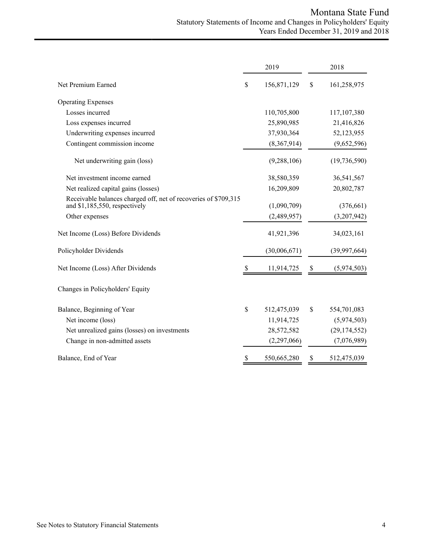|                                                                                                  | 2019              | 2018              |
|--------------------------------------------------------------------------------------------------|-------------------|-------------------|
| Net Premium Earned                                                                               | \$<br>156,871,129 | \$<br>161,258,975 |
| <b>Operating Expenses</b>                                                                        |                   |                   |
| Losses incurred                                                                                  | 110,705,800       | 117, 107, 380     |
| Loss expenses incurred                                                                           | 25,890,985        | 21,416,826        |
| Underwriting expenses incurred                                                                   | 37,930,364        | 52,123,955        |
| Contingent commission income                                                                     | (8,367,914)       | (9,652,596)       |
| Net underwriting gain (loss)                                                                     | (9, 288, 106)     | (19, 736, 590)    |
| Net investment income earned                                                                     | 38,580,359        | 36,541,567        |
| Net realized capital gains (losses)                                                              | 16,209,809        | 20,802,787        |
| Receivable balances charged off, net of recoveries of \$709,315<br>and \$1,185,550, respectively | (1,090,709)       | (376, 661)        |
| Other expenses                                                                                   | (2,489,957)       | (3,207,942)       |
| Net Income (Loss) Before Dividends                                                               | 41,921,396        | 34,023,161        |
| Policyholder Dividends                                                                           | (30,006,671)      | (39,997,664)      |
| Net Income (Loss) After Dividends                                                                | 11,914,725        | \$<br>(5,974,503) |
| Changes in Policyholders' Equity                                                                 |                   |                   |
| Balance, Beginning of Year                                                                       | \$<br>512,475,039 | \$<br>554,701,083 |
| Net income (loss)                                                                                | 11,914,725        | (5,974,503)       |
| Net unrealized gains (losses) on investments                                                     | 28,572,582        | (29, 174, 552)    |
| Change in non-admitted assets                                                                    | (2,297,066)       | (7,076,989)       |
| Balance, End of Year                                                                             | \$<br>550,665,280 | \$<br>512,475,039 |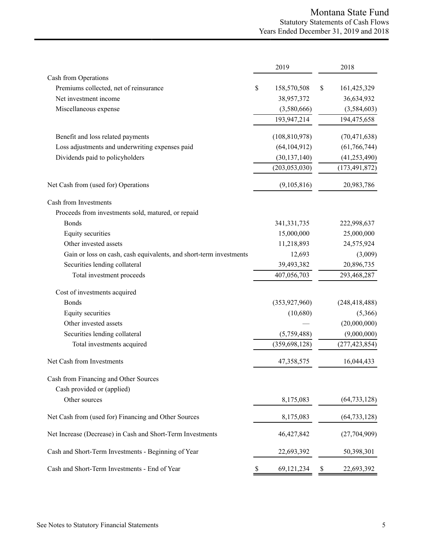### Montana State Fund Statutory Statements of Cash Flows Years Ended December 31, 2019 and 2018

|                                                                    | 2019               | 2018              |
|--------------------------------------------------------------------|--------------------|-------------------|
| Cash from Operations                                               |                    |                   |
| Premiums collected, net of reinsurance                             | \$<br>158,570,508  | \$<br>161,425,329 |
| Net investment income                                              | 38,957,372         | 36,634,932        |
| Miscellaneous expense                                              | (3,580,666)        | (3,584,603)       |
|                                                                    | 193,947,214        | 194,475,658       |
| Benefit and loss related payments                                  | (108, 810, 978)    | (70, 471, 638)    |
| Loss adjustments and underwriting expenses paid                    | (64, 104, 912)     | (61, 766, 744)    |
| Dividends paid to policyholders                                    | (30, 137, 140)     | (41, 253, 490)    |
|                                                                    | (203, 053, 030)    | (173, 491, 872)   |
| Net Cash from (used for) Operations                                | (9,105,816)        | 20,983,786        |
| Cash from Investments                                              |                    |                   |
| Proceeds from investments sold, matured, or repaid                 |                    |                   |
| <b>Bonds</b>                                                       | 341, 331, 735      | 222,998,637       |
| Equity securities                                                  | 15,000,000         | 25,000,000        |
| Other invested assets                                              | 11,218,893         | 24,575,924        |
| Gain or loss on cash, cash equivalents, and short-term investments | 12,693             | (3,009)           |
| Securities lending collateral                                      | 39,493,382         | 20,896,735        |
| Total investment proceeds                                          | 407,056,703        | 293,468,287       |
| Cost of investments acquired                                       |                    |                   |
| <b>Bonds</b>                                                       | (353, 927, 960)    | (248, 418, 488)   |
| Equity securities                                                  | (10,680)           | (5,366)           |
| Other invested assets                                              |                    | (20,000,000)      |
| Securities lending collateral                                      | (5,759,488)        | (9,000,000)       |
| Total investments acquired                                         | (359, 698, 128)    | (277, 423, 854)   |
| Net Cash from Investments                                          | 47,358,575         | 16,044,433        |
| Cash from Financing and Other Sources                              |                    |                   |
| Cash provided or (applied)                                         |                    |                   |
| Other sources                                                      | 8,175,083          | (64, 733, 128)    |
| Net Cash from (used for) Financing and Other Sources               | 8,175,083          | (64, 733, 128)    |
| Net Increase (Decrease) in Cash and Short-Term Investments         | 46, 427, 842       | (27,704,909)      |
| Cash and Short-Term Investments - Beginning of Year                | 22,693,392         | 50,398,301        |
| Cash and Short-Term Investments - End of Year                      | \$<br>69, 121, 234 | \$<br>22,693,392  |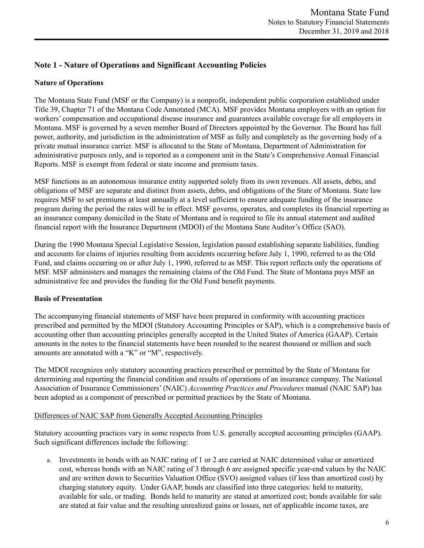## **Note 1 - Nature of Operations and Significant Accounting Policies**

### **Nature of Operations**

The Montana State Fund (MSF or the Company) is a nonprofit, independent public corporation established under Title 39, Chapter 71 of the Montana Code Annotated (MCA). MSF provides Montana employers with an option for workers' compensation and occupational disease insurance and guarantees available coverage for all employers in Montana. MSF is governed by a seven member Board of Directors appointed by the Governor. The Board has full power, authority, and jurisdiction in the administration of MSF as fully and completely as the governing body of a private mutual insurance carrier. MSF is allocated to the State of Montana, Department of Administration for administrative purposes only, and is reported as a component unit in the State's Comprehensive Annual Financial Reports. MSF is exempt from federal or state income and premium taxes.

MSF functions as an autonomous insurance entity supported solely from its own revenues. All assets, debts, and obligations of MSF are separate and distinct from assets, debts, and obligations of the State of Montana. State law requires MSF to set premiums at least annually at a level sufficient to ensure adequate funding of the insurance program during the period the rates will be in effect. MSF governs, operates, and completes its financial reporting as an insurance company domiciled in the State of Montana and is required to file its annual statement and audited financial report with the Insurance Department (MDOI) of the Montana State Auditor's Office (SAO).

During the 1990 Montana Special Legislative Session, legislation passed establishing separate liabilities, funding and accounts for claims of injuries resulting from accidents occurring before July 1, 1990, referred to as the Old Fund, and claims occurring on or after July 1, 1990, referred to as MSF. This report reflects only the operations of MSF. MSF administers and manages the remaining claims of the Old Fund. The State of Montana pays MSF an administrative fee and provides the funding for the Old Fund benefit payments.

### **Basis of Presentation**

The accompanying financial statements of MSF have been prepared in conformity with accounting practices prescribed and permitted by the MDOI (Statutory Accounting Principles or SAP), which is a comprehensive basis of accounting other than accounting principles generally accepted in the United States of America (GAAP). Certain amounts in the notes to the financial statements have been rounded to the nearest thousand or million and such amounts are annotated with a "K" or "M", respectively.

The MDOI recognizes only statutory accounting practices prescribed or permitted by the State of Montana for determining and reporting the financial condition and results of operations of an insurance company. The National Association of Insurance Commissioners' (NAIC) *Accounting Practices and Procedures* manual (NAIC SAP) has been adopted as a component of prescribed or permitted practices by the State of Montana.

### Differences of NAIC SAP from Generally Accepted Accounting Principles

Statutory accounting practices vary in some respects from U.S. generally accepted accounting principles (GAAP). Such significant differences include the following:

a. Investments in bonds with an NAIC rating of 1 or 2 are carried at NAIC determined value or amortized cost, whereas bonds with an NAIC rating of 3 through 6 are assigned specific year-end values by the NAIC and are written down to Securities Valuation Office (SVO) assigned values (if less than amortized cost) by charging statutory equity. Under GAAP, bonds are classified into three categories: held to maturity, available for sale, or trading. Bonds held to maturity are stated at amortized cost; bonds available for sale are stated at fair value and the resulting unrealized gains or losses, net of applicable income taxes, are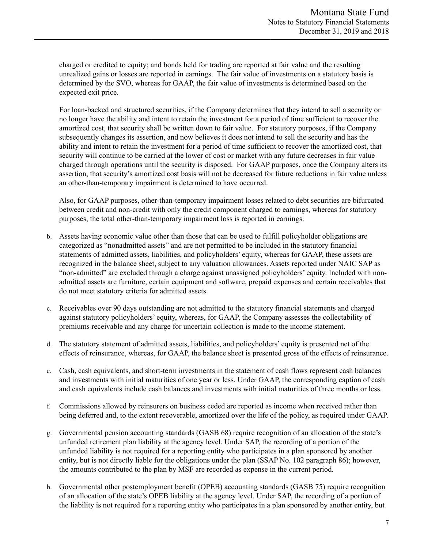charged or credited to equity; and bonds held for trading are reported at fair value and the resulting unrealized gains or losses are reported in earnings. The fair value of investments on a statutory basis is determined by the SVO, whereas for GAAP, the fair value of investments is determined based on the expected exit price.

For loan-backed and structured securities, if the Company determines that they intend to sell a security or no longer have the ability and intent to retain the investment for a period of time sufficient to recover the amortized cost, that security shall be written down to fair value. For statutory purposes, if the Company subsequently changes its assertion, and now believes it does not intend to sell the security and has the ability and intent to retain the investment for a period of time sufficient to recover the amortized cost, that security will continue to be carried at the lower of cost or market with any future decreases in fair value charged through operations until the security is disposed. For GAAP purposes, once the Company alters its assertion, that security's amortized cost basis will not be decreased for future reductions in fair value unless an other-than-temporary impairment is determined to have occurred.

Also, for GAAP purposes, other-than-temporary impairment losses related to debt securities are bifurcated between credit and non-credit with only the credit component charged to earnings, whereas for statutory purposes, the total other-than-temporary impairment loss is reported in earnings.

- b. Assets having economic value other than those that can be used to fulfill policyholder obligations are categorized as "nonadmitted assets" and are not permitted to be included in the statutory financial statements of admitted assets, liabilities, and policyholders' equity, whereas for GAAP, these assets are recognized in the balance sheet, subject to any valuation allowances. Assets reported under NAIC SAP as "non-admitted" are excluded through a charge against unassigned policyholders' equity. Included with nonadmitted assets are furniture, certain equipment and software, prepaid expenses and certain receivables that do not meet statutory criteria for admitted assets.
- c. Receivables over 90 days outstanding are not admitted to the statutory financial statements and charged against statutory policyholders' equity, whereas, for GAAP, the Company assesses the collectability of premiums receivable and any charge for uncertain collection is made to the income statement.
- d. The statutory statement of admitted assets, liabilities, and policyholders' equity is presented net of the effects of reinsurance, whereas, for GAAP, the balance sheet is presented gross of the effects of reinsurance.
- e. Cash, cash equivalents, and short-term investments in the statement of cash flows represent cash balances and investments with initial maturities of one year or less. Under GAAP, the corresponding caption of cash and cash equivalents include cash balances and investments with initial maturities of three months or less.
- f. Commissions allowed by reinsurers on business ceded are reported as income when received rather than being deferred and, to the extent recoverable, amortized over the life of the policy, as required under GAAP.
- g. Governmental pension accounting standards (GASB 68) require recognition of an allocation of the state's unfunded retirement plan liability at the agency level. Under SAP, the recording of a portion of the unfunded liability is not required for a reporting entity who participates in a plan sponsored by another entity, but is not directly liable for the obligations under the plan (SSAP No. 102 paragraph 86); however, the amounts contributed to the plan by MSF are recorded as expense in the current period.
- h. Governmental other postemployment benefit (OPEB) accounting standards (GASB 75) require recognition of an allocation of the state's OPEB liability at the agency level. Under SAP, the recording of a portion of the liability is not required for a reporting entity who participates in a plan sponsored by another entity, but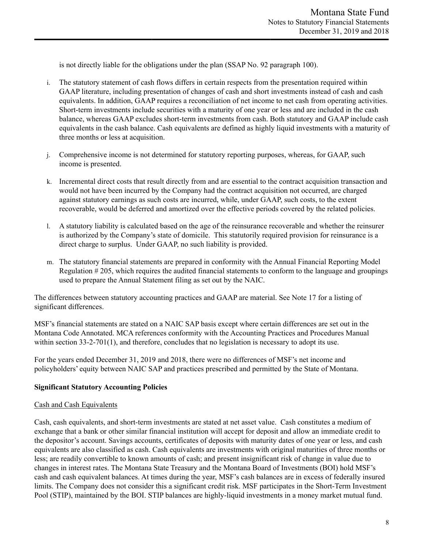is not directly liable for the obligations under the plan (SSAP No. 92 paragraph 100).

- i. The statutory statement of cash flows differs in certain respects from the presentation required within GAAP literature, including presentation of changes of cash and short investments instead of cash and cash equivalents. In addition, GAAP requires a reconciliation of net income to net cash from operating activities. Short-term investments include securities with a maturity of one year or less and are included in the cash balance, whereas GAAP excludes short-term investments from cash. Both statutory and GAAP include cash equivalents in the cash balance. Cash equivalents are defined as highly liquid investments with a maturity of three months or less at acquisition.
- j. Comprehensive income is not determined for statutory reporting purposes, whereas, for GAAP, such income is presented.
- k. Incremental direct costs that result directly from and are essential to the contract acquisition transaction and would not have been incurred by the Company had the contract acquisition not occurred, are charged against statutory earnings as such costs are incurred, while, under GAAP, such costs, to the extent recoverable, would be deferred and amortized over the effective periods covered by the related policies.
- l. A statutory liability is calculated based on the age of the reinsurance recoverable and whether the reinsurer is authorized by the Company's state of domicile. This statutorily required provision for reinsurance is a direct charge to surplus. Under GAAP, no such liability is provided.
- m. The statutory financial statements are prepared in conformity with the Annual Financial Reporting Model Regulation # 205, which requires the audited financial statements to conform to the language and groupings used to prepare the Annual Statement filing as set out by the NAIC.

The differences between statutory accounting practices and GAAP are material. See Note 17 for a listing of significant differences.

MSF's financial statements are stated on a NAIC SAP basis except where certain differences are set out in the Montana Code Annotated. MCA references conformity with the Accounting Practices and Procedures Manual within section 33-2-701(1), and therefore, concludes that no legislation is necessary to adopt its use.

For the years ended December 31, 2019 and 2018, there were no differences of MSF's net income and policyholders' equity between NAIC SAP and practices prescribed and permitted by the State of Montana.

#### **Significant Statutory Accounting Policies**

#### Cash and Cash Equivalents

Cash, cash equivalents, and short-term investments are stated at net asset value. Cash constitutes a medium of exchange that a bank or other similar financial institution will accept for deposit and allow an immediate credit to the depositor's account. Savings accounts, certificates of deposits with maturity dates of one year or less, and cash equivalents are also classified as cash. Cash equivalents are investments with original maturities of three months or less; are readily convertible to known amounts of cash; and present insignificant risk of change in value due to changes in interest rates. The Montana State Treasury and the Montana Board of Investments (BOI) hold MSF's cash and cash equivalent balances. At times during the year, MSF's cash balances are in excess of federally insured limits. The Company does not consider this a significant credit risk. MSF participates in the Short-Term Investment Pool (STIP), maintained by the BOI. STIP balances are highly-liquid investments in a money market mutual fund.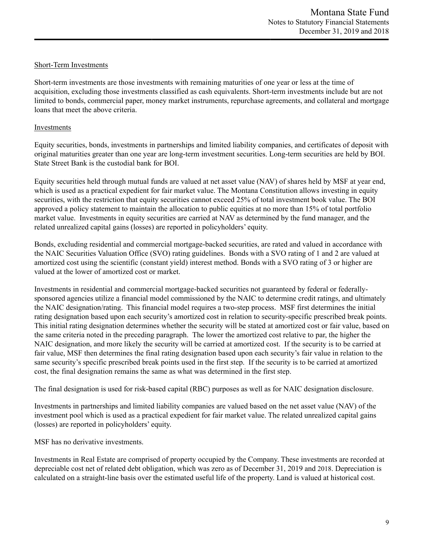### Short-Term Investments

Short-term investments are those investments with remaining maturities of one year or less at the time of acquisition, excluding those investments classified as cash equivalents. Short-term investments include but are not limited to bonds, commercial paper, money market instruments, repurchase agreements, and collateral and mortgage loans that meet the above criteria.

### Investments

Equity securities, bonds, investments in partnerships and limited liability companies, and certificates of deposit with original maturities greater than one year are long-term investment securities. Long-term securities are held by BOI. State Street Bank is the custodial bank for BOI.

Equity securities held through mutual funds are valued at net asset value (NAV) of shares held by MSF at year end, which is used as a practical expedient for fair market value. The Montana Constitution allows investing in equity securities, with the restriction that equity securities cannot exceed 25% of total investment book value. The BOI approved a policy statement to maintain the allocation to public equities at no more than 15% of total portfolio market value. Investments in equity securities are carried at NAV as determined by the fund manager, and the related unrealized capital gains (losses) are reported in policyholders' equity.

Bonds, excluding residential and commercial mortgage-backed securities, are rated and valued in accordance with the NAIC Securities Valuation Office (SVO) rating guidelines. Bonds with a SVO rating of 1 and 2 are valued at amortized cost using the scientific (constant yield) interest method. Bonds with a SVO rating of 3 or higher are valued at the lower of amortized cost or market.

Investments in residential and commercial mortgage-backed securities not guaranteed by federal or federallysponsored agencies utilize a financial model commissioned by the NAIC to determine credit ratings, and ultimately the NAIC designation/rating. This financial model requires a two-step process. MSF first determines the initial rating designation based upon each security's amortized cost in relation to security-specific prescribed break points. This initial rating designation determines whether the security will be stated at amortized cost or fair value, based on the same criteria noted in the preceding paragraph. The lower the amortized cost relative to par, the higher the NAIC designation, and more likely the security will be carried at amortized cost. If the security is to be carried at fair value, MSF then determines the final rating designation based upon each security's fair value in relation to the same security's specific prescribed break points used in the first step. If the security is to be carried at amortized cost, the final designation remains the same as what was determined in the first step.

The final designation is used for risk-based capital (RBC) purposes as well as for NAIC designation disclosure.

Investments in partnerships and limited liability companies are valued based on the net asset value (NAV) of the investment pool which is used as a practical expedient for fair market value. The related unrealized capital gains (losses) are reported in policyholders' equity.

MSF has no derivative investments.

Investments in Real Estate are comprised of property occupied by the Company. These investments are recorded at depreciable cost net of related debt obligation, which was zero as of December 31, 2019 and 2018. Depreciation is calculated on a straight-line basis over the estimated useful life of the property. Land is valued at historical cost.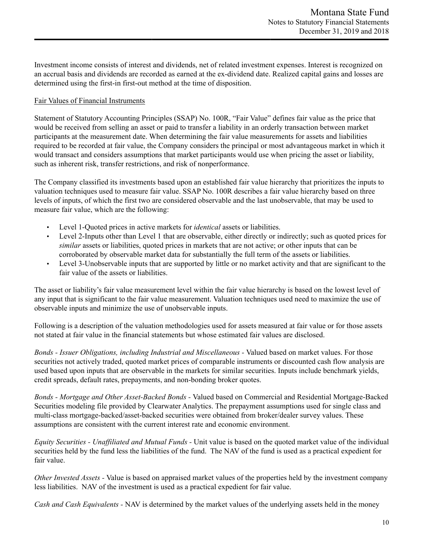Investment income consists of interest and dividends, net of related investment expenses. Interest is recognized on an accrual basis and dividends are recorded as earned at the ex-dividend date. Realized capital gains and losses are determined using the first-in first-out method at the time of disposition.

### Fair Values of Financial Instruments

Statement of Statutory Accounting Principles (SSAP) No. 100R, "Fair Value" defines fair value as the price that would be received from selling an asset or paid to transfer a liability in an orderly transaction between market participants at the measurement date. When determining the fair value measurements for assets and liabilities required to be recorded at fair value, the Company considers the principal or most advantageous market in which it would transact and considers assumptions that market participants would use when pricing the asset or liability, such as inherent risk, transfer restrictions, and risk of nonperformance.

The Company classified its investments based upon an established fair value hierarchy that prioritizes the inputs to valuation techniques used to measure fair value. SSAP No. 100R describes a fair value hierarchy based on three levels of inputs, of which the first two are considered observable and the last unobservable, that may be used to measure fair value, which are the following:

- Level 1-Quoted prices in active markets for *identical* assets or liabilities.
- Level 2-Inputs other than Level 1 that are observable, either directly or indirectly; such as quoted prices for *similar* assets or liabilities, quoted prices in markets that are not active; or other inputs that can be corroborated by observable market data for substantially the full term of the assets or liabilities.
- Level 3-Unobservable inputs that are supported by little or no market activity and that are significant to the fair value of the assets or liabilities.

The asset or liability's fair value measurement level within the fair value hierarchy is based on the lowest level of any input that is significant to the fair value measurement. Valuation techniques used need to maximize the use of observable inputs and minimize the use of unobservable inputs.

Following is a description of the valuation methodologies used for assets measured at fair value or for those assets not stated at fair value in the financial statements but whose estimated fair values are disclosed.

*Bonds - Issuer Obligations, including Industrial and Miscellaneous -* Valued based on market values. For those securities not actively traded, quoted market prices of comparable instruments or discounted cash flow analysis are used based upon inputs that are observable in the markets for similar securities. Inputs include benchmark yields, credit spreads, default rates, prepayments, and non-bonding broker quotes.

*Bonds - Mortgage and Other Asset-Backed Bonds -* Valued based on Commercial and Residential Mortgage-Backed Securities modeling file provided by Clearwater Analytics. The prepayment assumptions used for single class and multi-class mortgage-backed/asset-backed securities were obtained from broker/dealer survey values. These assumptions are consistent with the current interest rate and economic environment.

*Equity Securities - Unaffiliated and Mutual Funds -* Unit value is based on the quoted market value of the individual securities held by the fund less the liabilities of the fund. The NAV of the fund is used as a practical expedient for fair value.

*Other Invested Assets -* Value is based on appraised market values of the properties held by the investment company less liabilities. NAV of the investment is used as a practical expedient for fair value.

*Cash and Cash Equivalents -* NAV is determined by the market values of the underlying assets held in the money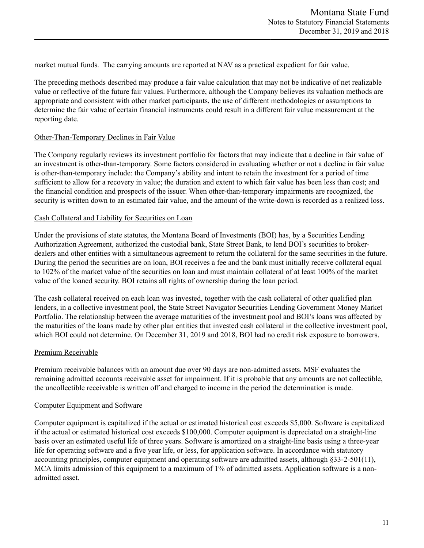market mutual funds. The carrying amounts are reported at NAV as a practical expedient for fair value.

The preceding methods described may produce a fair value calculation that may not be indicative of net realizable value or reflective of the future fair values. Furthermore, although the Company believes its valuation methods are appropriate and consistent with other market participants, the use of different methodologies or assumptions to determine the fair value of certain financial instruments could result in a different fair value measurement at the reporting date.

#### Other-Than-Temporary Declines in Fair Value

The Company regularly reviews its investment portfolio for factors that may indicate that a decline in fair value of an investment is other-than-temporary. Some factors considered in evaluating whether or not a decline in fair value is other-than-temporary include: the Company's ability and intent to retain the investment for a period of time sufficient to allow for a recovery in value; the duration and extent to which fair value has been less than cost; and the financial condition and prospects of the issuer. When other-than-temporary impairments are recognized, the security is written down to an estimated fair value, and the amount of the write-down is recorded as a realized loss.

#### Cash Collateral and Liability for Securities on Loan

Under the provisions of state statutes, the Montana Board of Investments (BOI) has, by a Securities Lending Authorization Agreement, authorized the custodial bank, State Street Bank, to lend BOI's securities to brokerdealers and other entities with a simultaneous agreement to return the collateral for the same securities in the future. During the period the securities are on loan, BOI receives a fee and the bank must initially receive collateral equal to 102% of the market value of the securities on loan and must maintain collateral of at least 100% of the market value of the loaned security. BOI retains all rights of ownership during the loan period.

The cash collateral received on each loan was invested, together with the cash collateral of other qualified plan lenders, in a collective investment pool, the State Street Navigator Securities Lending Government Money Market Portfolio. The relationship between the average maturities of the investment pool and BOI's loans was affected by the maturities of the loans made by other plan entities that invested cash collateral in the collective investment pool, which BOI could not determine. On December 31, 2019 and 2018, BOI had no credit risk exposure to borrowers.

### Premium Receivable

Premium receivable balances with an amount due over 90 days are non-admitted assets. MSF evaluates the remaining admitted accounts receivable asset for impairment. If it is probable that any amounts are not collectible, the uncollectible receivable is written off and charged to income in the period the determination is made.

### Computer Equipment and Software

Computer equipment is capitalized if the actual or estimated historical cost exceeds \$5,000. Software is capitalized if the actual or estimated historical cost exceeds \$100,000. Computer equipment is depreciated on a straight-line basis over an estimated useful life of three years. Software is amortized on a straight-line basis using a three-year life for operating software and a five year life, or less, for application software. In accordance with statutory accounting principles, computer equipment and operating software are admitted assets, although §33-2-501(11), MCA limits admission of this equipment to a maximum of 1% of admitted assets. Application software is a nonadmitted asset.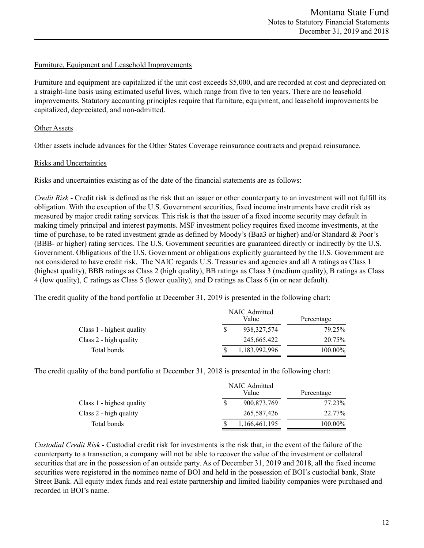#### Furniture, Equipment and Leasehold Improvements

Furniture and equipment are capitalized if the unit cost exceeds \$5,000, and are recorded at cost and depreciated on a straight-line basis using estimated useful lives, which range from five to ten years. There are no leasehold improvements. Statutory accounting principles require that furniture, equipment, and leasehold improvements be capitalized, depreciated, and non-admitted.

#### Other Assets

Other assets include advances for the Other States Coverage reinsurance contracts and prepaid reinsurance.

#### Risks and Uncertainties

Risks and uncertainties existing as of the date of the financial statements are as follows:

*Credit Risk* - Credit risk is defined as the risk that an issuer or other counterparty to an investment will not fulfill its obligation. With the exception of the U.S. Government securities, fixed income instruments have credit risk as measured by major credit rating services. This risk is that the issuer of a fixed income security may default in making timely principal and interest payments. MSF investment policy requires fixed income investments, at the time of purchase, to be rated investment grade as defined by Moody's (Baa3 or higher) and/or Standard & Poor's (BBB- or higher) rating services. The U.S. Government securities are guaranteed directly or indirectly by the U.S. Government. Obligations of the U.S. Government or obligations explicitly guaranteed by the U.S. Government are not considered to have credit risk. The NAIC regards U.S. Treasuries and agencies and all A ratings as Class 1 (highest quality), BBB ratings as Class 2 (high quality), BB ratings as Class 3 (medium quality), B ratings as Class 4 (low quality), C ratings as Class 5 (lower quality), and D ratings as Class 6 (in or near default).

The credit quality of the bond portfolio at December 31, 2019 is presented in the following chart:

|                           | <b>NAIC</b> Admitted | Percentage    |         |  |
|---------------------------|----------------------|---------------|---------|--|
| Class 1 - highest quality |                      | 938, 327, 574 | 79.25%  |  |
| Class 2 - high quality    |                      | 245,665,422   | 20.75%  |  |
| Total bonds               |                      | 1,183,992,996 | 100.00% |  |

The credit quality of the bond portfolio at December 31, 2018 is presented in the following chart:

|                           | <b>NAIC</b> Admitted | Percentage    |            |  |
|---------------------------|----------------------|---------------|------------|--|
| Class 1 - highest quality |                      | 900,873,769   | 77.23%     |  |
| Class 2 - high quality    |                      | 265,587,426   | 22.77%     |  |
| Total bonds               |                      | 1,166,461,195 | $100.00\%$ |  |

*Custodial Credit Risk* - Custodial credit risk for investments is the risk that, in the event of the failure of the counterparty to a transaction, a company will not be able to recover the value of the investment or collateral securities that are in the possession of an outside party. As of December 31, 2019 and 2018, all the fixed income securities were registered in the nominee name of BOI and held in the possession of BOI's custodial bank, State Street Bank. All equity index funds and real estate partnership and limited liability companies were purchased and recorded in BOI's name.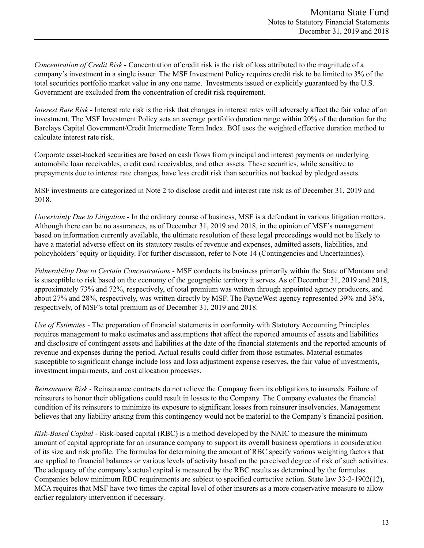*Concentration of Credit Risk* - Concentration of credit risk is the risk of loss attributed to the magnitude of a company's investment in a single issuer. The MSF Investment Policy requires credit risk to be limited to 3% of the total securities portfolio market value in any one name. Investments issued or explicitly guaranteed by the U.S. Government are excluded from the concentration of credit risk requirement.

*Interest Rate Risk* - Interest rate risk is the risk that changes in interest rates will adversely affect the fair value of an investment. The MSF Investment Policy sets an average portfolio duration range within 20% of the duration for the Barclays Capital Government/Credit Intermediate Term Index. BOI uses the weighted effective duration method to calculate interest rate risk.

Corporate asset-backed securities are based on cash flows from principal and interest payments on underlying automobile loan receivables, credit card receivables, and other assets. These securities, while sensitive to prepayments due to interest rate changes, have less credit risk than securities not backed by pledged assets.

MSF investments are categorized in Note 2 to disclose credit and interest rate risk as of December 31, 2019 and 2018.

*Uncertainty Due to Litigation* - In the ordinary course of business, MSF is a defendant in various litigation matters. Although there can be no assurances, as of December 31, 2019 and 2018, in the opinion of MSF's management based on information currently available, the ultimate resolution of these legal proceedings would not be likely to have a material adverse effect on its statutory results of revenue and expenses, admitted assets, liabilities, and policyholders' equity or liquidity. For further discussion, refer to Note 14 (Contingencies and Uncertainties).

*Vulnerability Due to Certain Concentrations* - MSF conducts its business primarily within the State of Montana and is susceptible to risk based on the economy of the geographic territory it serves. As of December 31, 2019 and 2018, approximately 73% and 72%, respectively, of total premium was written through appointed agency producers, and about 27% and 28%, respectively, was written directly by MSF. The PayneWest agency represented 39% and 38%, respectively, of MSF's total premium as of December 31, 2019 and 2018.

*Use of Estimates -* The preparation of financial statements in conformity with Statutory Accounting Principles requires management to make estimates and assumptions that affect the reported amounts of assets and liabilities and disclosure of contingent assets and liabilities at the date of the financial statements and the reported amounts of revenue and expenses during the period. Actual results could differ from those estimates. Material estimates susceptible to significant change include loss and loss adjustment expense reserves, the fair value of investments, investment impairments, and cost allocation processes.

*Reinsurance Risk -* Reinsurance contracts do not relieve the Company from its obligations to insureds. Failure of reinsurers to honor their obligations could result in losses to the Company. The Company evaluates the financial condition of its reinsurers to minimize its exposure to significant losses from reinsurer insolvencies. Management believes that any liability arising from this contingency would not be material to the Company's financial position.

*Risk-Based Capital* - Risk-based capital (RBC) is a method developed by the NAIC to measure the minimum amount of capital appropriate for an insurance company to support its overall business operations in consideration of its size and risk profile. The formulas for determining the amount of RBC specify various weighting factors that are applied to financial balances or various levels of activity based on the perceived degree of risk of such activities. The adequacy of the company's actual capital is measured by the RBC results as determined by the formulas. Companies below minimum RBC requirements are subject to specified corrective action. State law 33-2-1902(12), MCA requires that MSF have two times the capital level of other insurers as a more conservative measure to allow earlier regulatory intervention if necessary.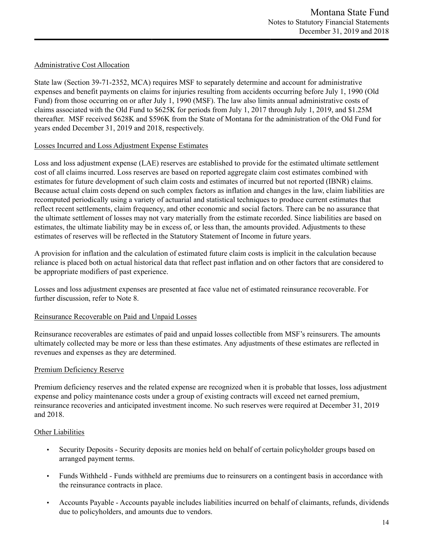### Administrative Cost Allocation

State law (Section 39-71-2352, MCA) requires MSF to separately determine and account for administrative expenses and benefit payments on claims for injuries resulting from accidents occurring before July 1, 1990 (Old Fund) from those occurring on or after July 1, 1990 (MSF). The law also limits annual administrative costs of claims associated with the Old Fund to \$625K for periods from July 1, 2017 through July 1, 2019, and \$1.25M thereafter. MSF received \$628K and \$596K from the State of Montana for the administration of the Old Fund for years ended December 31, 2019 and 2018, respectively.

### Losses Incurred and Loss Adjustment Expense Estimates

Loss and loss adjustment expense (LAE) reserves are established to provide for the estimated ultimate settlement cost of all claims incurred. Loss reserves are based on reported aggregate claim cost estimates combined with estimates for future development of such claim costs and estimates of incurred but not reported (IBNR) claims. Because actual claim costs depend on such complex factors as inflation and changes in the law, claim liabilities are recomputed periodically using a variety of actuarial and statistical techniques to produce current estimates that reflect recent settlements, claim frequency, and other economic and social factors. There can be no assurance that the ultimate settlement of losses may not vary materially from the estimate recorded. Since liabilities are based on estimates, the ultimate liability may be in excess of, or less than, the amounts provided. Adjustments to these estimates of reserves will be reflected in the Statutory Statement of Income in future years.

A provision for inflation and the calculation of estimated future claim costs is implicit in the calculation because reliance is placed both on actual historical data that reflect past inflation and on other factors that are considered to be appropriate modifiers of past experience.

Losses and loss adjustment expenses are presented at face value net of estimated reinsurance recoverable. For further discussion, refer to Note 8.

### Reinsurance Recoverable on Paid and Unpaid Losses

Reinsurance recoverables are estimates of paid and unpaid losses collectible from MSF's reinsurers. The amounts ultimately collected may be more or less than these estimates. Any adjustments of these estimates are reflected in revenues and expenses as they are determined.

### Premium Deficiency Reserve

Premium deficiency reserves and the related expense are recognized when it is probable that losses, loss adjustment expense and policy maintenance costs under a group of existing contracts will exceed net earned premium, reinsurance recoveries and anticipated investment income. No such reserves were required at December 31, 2019 and 2018.

### Other Liabilities

- Security Deposits Security deposits are monies held on behalf of certain policyholder groups based on arranged payment terms.
- Funds Withheld Funds withheld are premiums due to reinsurers on a contingent basis in accordance with the reinsurance contracts in place.
- Accounts Payable Accounts payable includes liabilities incurred on behalf of claimants, refunds, dividends due to policyholders, and amounts due to vendors.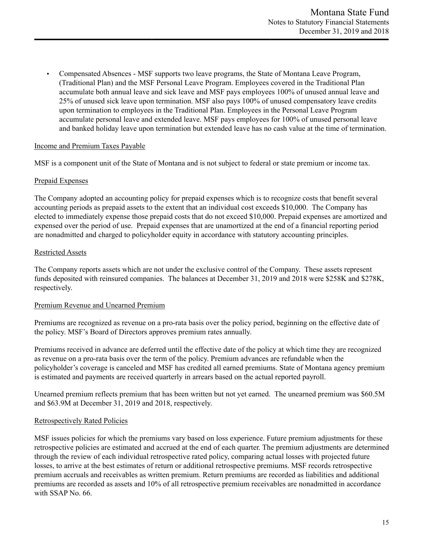• Compensated Absences - MSF supports two leave programs, the State of Montana Leave Program, (Traditional Plan) and the MSF Personal Leave Program. Employees covered in the Traditional Plan accumulate both annual leave and sick leave and MSF pays employees 100% of unused annual leave and 25% of unused sick leave upon termination. MSF also pays 100% of unused compensatory leave credits upon termination to employees in the Traditional Plan. Employees in the Personal Leave Program accumulate personal leave and extended leave. MSF pays employees for 100% of unused personal leave and banked holiday leave upon termination but extended leave has no cash value at the time of termination.

### Income and Premium Taxes Payable

MSF is a component unit of the State of Montana and is not subject to federal or state premium or income tax.

### Prepaid Expenses

The Company adopted an accounting policy for prepaid expenses which is to recognize costs that benefit several accounting periods as prepaid assets to the extent that an individual cost exceeds \$10,000. The Company has elected to immediately expense those prepaid costs that do not exceed \$10,000. Prepaid expenses are amortized and expensed over the period of use. Prepaid expenses that are unamortized at the end of a financial reporting period are nonadmitted and charged to policyholder equity in accordance with statutory accounting principles.

#### Restricted Assets

The Company reports assets which are not under the exclusive control of the Company. These assets represent funds deposited with reinsured companies. The balances at December 31, 2019 and 2018 were \$258K and \$278K, respectively.

### Premium Revenue and Unearned Premium

Premiums are recognized as revenue on a pro-rata basis over the policy period, beginning on the effective date of the policy. MSF's Board of Directors approves premium rates annually.

Premiums received in advance are deferred until the effective date of the policy at which time they are recognized as revenue on a pro-rata basis over the term of the policy. Premium advances are refundable when the policyholder's coverage is canceled and MSF has credited all earned premiums. State of Montana agency premium is estimated and payments are received quarterly in arrears based on the actual reported payroll.

Unearned premium reflects premium that has been written but not yet earned. The unearned premium was \$60.5M and \$63.9M at December 31, 2019 and 2018, respectively.

### Retrospectively Rated Policies

MSF issues policies for which the premiums vary based on loss experience. Future premium adjustments for these retrospective policies are estimated and accrued at the end of each quarter. The premium adjustments are determined through the review of each individual retrospective rated policy, comparing actual losses with projected future losses, to arrive at the best estimates of return or additional retrospective premiums. MSF records retrospective premium accruals and receivables as written premium. Return premiums are recorded as liabilities and additional premiums are recorded as assets and 10% of all retrospective premium receivables are nonadmitted in accordance with SSAP No. 66.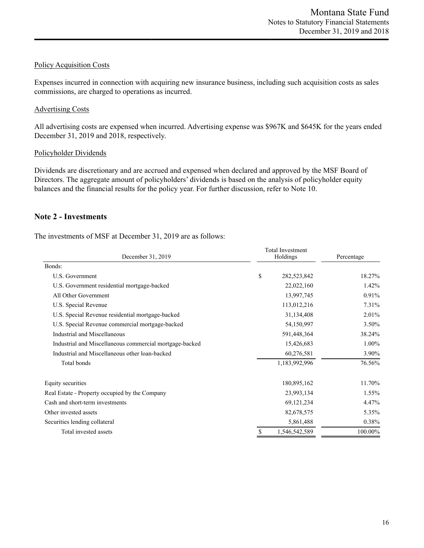#### Policy Acquisition Costs

Expenses incurred in connection with acquiring new insurance business, including such acquisition costs as sales commissions, are charged to operations as incurred.

### Advertising Costs

All advertising costs are expensed when incurred. Advertising expense was \$967K and \$645K for the years ended December 31, 2019 and 2018, respectively.

#### Policyholder Dividends

Dividends are discretionary and are accrued and expensed when declared and approved by the MSF Board of Directors. The aggregate amount of policyholders' dividends is based on the analysis of policyholder equity balances and the financial results for the policy year. For further discussion, refer to Note 10.

### **Note 2 - Investments**

The investments of MSF at December 31, 2019 are as follows:

| December 31, 2019                                       | <b>Total Investment</b><br>Holdings | Percentage |
|---------------------------------------------------------|-------------------------------------|------------|
| Bonds:                                                  |                                     |            |
| U.S. Government                                         | \$<br>282,523,842                   | 18.27%     |
| U.S. Government residential mortgage-backed             | 22,022,160                          | 1.42%      |
| All Other Government                                    | 13,997,745                          | 0.91%      |
| U.S. Special Revenue                                    | 113,012,216                         | 7.31%      |
| U.S. Special Revenue residential mortgage-backed        | 31,134,408                          | 2.01%      |
| U.S. Special Revenue commercial mortgage-backed         | 54,150,997                          | 3.50%      |
| Industrial and Miscellaneous                            | 591,448,364                         | 38.24%     |
| Industrial and Miscellaneous commercial mortgage-backed | 15,426,683                          | 1.00%      |
| Industrial and Miscellaneous other loan-backed          | 60,276,581                          | 3.90%      |
| Total bonds                                             | 1,183,992,996                       | 76.56%     |
| Equity securities                                       | 180,895,162                         | 11.70%     |
| Real Estate - Property occupied by the Company          | 23,993,134                          | 1.55%      |
| Cash and short-term investments                         | 69, 121, 234                        | 4.47%      |
| Other invested assets                                   | 82,678,575                          | 5.35%      |
| Securities lending collateral                           | 5,861,488                           | 0.38%      |
| Total invested assets                                   | 1,546,542,589<br>S                  | 100.00%    |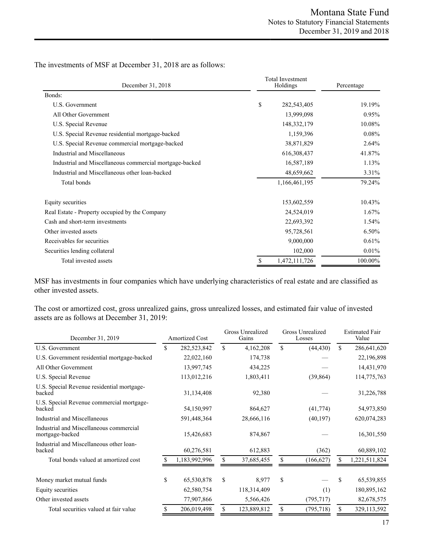The investments of MSF at December 31, 2018 are as follows:

| December 31, 2018                                       | <b>Total Investment</b><br>Holdings | Percentage |
|---------------------------------------------------------|-------------------------------------|------------|
| Bonds:                                                  |                                     |            |
| U.S. Government                                         | \$<br>282,543,405                   | 19.19%     |
| All Other Government                                    | 13,999,098                          | 0.95%      |
| U.S. Special Revenue                                    | 148, 332, 179                       | 10.08%     |
| U.S. Special Revenue residential mortgage-backed        | 1,159,396                           | 0.08%      |
| U.S. Special Revenue commercial mortgage-backed         | 38,871,829                          | 2.64%      |
| Industrial and Miscellaneous                            | 616, 308, 437                       | 41.87%     |
| Industrial and Miscellaneous commercial mortgage-backed | 16,587,189                          | 1.13%      |
| Industrial and Miscellaneous other loan-backed          | 48,659,662                          | 3.31%      |
| Total bonds                                             | 1,166,461,195                       | 79.24%     |
| Equity securities                                       | 153,602,559                         | 10.43%     |
| Real Estate - Property occupied by the Company          | 24,524,019                          | 1.67%      |
| Cash and short-term investments                         | 22,693,392                          | $1.54\%$   |
| Other invested assets                                   | 95,728,561                          | 6.50%      |
| Receivables for securities                              | 9,000,000                           | 0.61%      |
| Securities lending collateral                           | 102,000                             | 0.01%      |
| Total invested assets                                   | 1,472,111,726                       | 100.00%    |

MSF has investments in four companies which have underlying characteristics of real estate and are classified as other invested assets.

The cost or amortized cost, gross unrealized gains, gross unrealized losses, and estimated fair value of invested assets are as follows at December 31, 2019:

| <b>Amortized Cost</b> |               | Gains |             |                  | Losses     | <b>Estimated Fair</b><br>Value |               |  |
|-----------------------|---------------|-------|-------------|------------------|------------|--------------------------------|---------------|--|
| \$                    | 282,523,842   | \$    | 4,162,208   | \$               | (44, 430)  | S.                             | 286,641,620   |  |
|                       | 22,022,160    |       | 174,738     |                  |            |                                | 22,196,898    |  |
|                       | 13,997,745    |       | 434,225     |                  |            |                                | 14,431,970    |  |
|                       | 113,012,216   |       | 1,803,411   |                  | (39, 864)  |                                | 114,775,763   |  |
|                       | 31,134,408    |       | 92,380      |                  |            |                                | 31,226,788    |  |
|                       | 54,150,997    |       | 864,627     |                  | (41, 774)  |                                | 54,973,850    |  |
|                       | 591,448,364   |       | 28,666,116  |                  | (40, 197)  |                                | 620,074,283   |  |
|                       | 15,426,683    |       | 874,867     |                  |            |                                | 16,301,550    |  |
|                       | 60,276,581    |       | 612,883     |                  | (362)      |                                | 60,889,102    |  |
|                       | 1,183,992,996 | \$    | 37,685,455  | \$               | (166, 627) | \$                             | 1,221,511,824 |  |
| \$                    | 65,530,878    | \$    | 8,977       | \$               |            | S                              | 65,539,855    |  |
|                       | 62,580,754    |       | 118,314,409 |                  | (1)        |                                | 180,895,162   |  |
|                       | 77,907,866    |       | 5,566,426   |                  | (795, 717) |                                | 82,678,575    |  |
|                       | 206,019,498   | \$    | 123,889,812 | \$               | (795, 718) | S                              | 329,113,592   |  |
|                       |               |       |             | Gross Unrealized |            | Gross Unrealized               |               |  |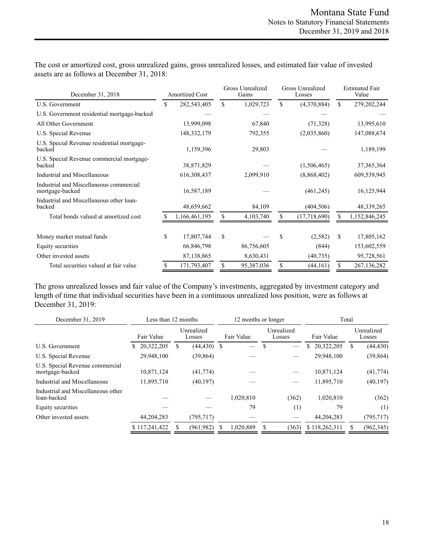The cost or amortized cost, gross unrealized gains, gross unrealized losses, and estimated fair value of invested assets are as follows at December 31, 2018:

| December 31, 2018                                          | <b>Amortized Cost</b> |               |     |            |                      |    |               |  |  |  |  |  |  |  |  |  | Gross Unrealized<br>Gains |  | Gross Unrealized<br>Losses | <b>Estimated Fair</b><br>Value |  |  |
|------------------------------------------------------------|-----------------------|---------------|-----|------------|----------------------|----|---------------|--|--|--|--|--|--|--|--|--|---------------------------|--|----------------------------|--------------------------------|--|--|
| U.S. Government                                            | \$                    | 282,543,405   | \$  | 1,029,723  | \$<br>(4,370,884)    | \$ | 279, 202, 244 |  |  |  |  |  |  |  |  |  |                           |  |                            |                                |  |  |
| U.S. Government residential mortgage-backed                |                       |               |     |            |                      |    |               |  |  |  |  |  |  |  |  |  |                           |  |                            |                                |  |  |
| All Other Government                                       |                       | 13,999,098    |     | 67,840     | (71, 328)            |    | 13,995,610    |  |  |  |  |  |  |  |  |  |                           |  |                            |                                |  |  |
| U.S. Special Revenue                                       |                       | 148, 332, 179 |     | 792,355    | (2,035,860)          |    | 147,088,674   |  |  |  |  |  |  |  |  |  |                           |  |                            |                                |  |  |
| U.S. Special Revenue residential mortgage-<br>backed       |                       | 1,159,396     |     | 29,803     |                      |    | 1,189,199     |  |  |  |  |  |  |  |  |  |                           |  |                            |                                |  |  |
| U.S. Special Revenue commercial mortgage-<br>backed        |                       | 38,871,829    |     |            | (1,506,465)          |    | 37, 365, 364  |  |  |  |  |  |  |  |  |  |                           |  |                            |                                |  |  |
| Industrial and Miscellaneous                               |                       | 616, 308, 437 |     | 2,099,910  | (8,868,402)          |    | 609,539,945   |  |  |  |  |  |  |  |  |  |                           |  |                            |                                |  |  |
| Industrial and Miscellaneous commercial<br>mortgage-backed |                       | 16,587,189    |     |            | (461,245)            |    | 16,125,944    |  |  |  |  |  |  |  |  |  |                           |  |                            |                                |  |  |
| Industrial and Miscellaneous other loan-<br>backed         |                       | 48,659,662    |     | 84,109     | (404, 506)           |    | 48,339,265    |  |  |  |  |  |  |  |  |  |                           |  |                            |                                |  |  |
| Total bonds valued at amortized cost                       |                       | 1,166,461,195 | \$. | 4,103,740  | \$<br>(17, 718, 690) | \$ | 1,152,846,245 |  |  |  |  |  |  |  |  |  |                           |  |                            |                                |  |  |
| Money market mutual funds                                  | \$                    | 17,807,744    | \$  |            | \$<br>(2,582)        | \$ | 17,805,162    |  |  |  |  |  |  |  |  |  |                           |  |                            |                                |  |  |
| Equity securities                                          |                       | 66,846,798    |     | 86,756,605 | (844)                |    | 153,602,559   |  |  |  |  |  |  |  |  |  |                           |  |                            |                                |  |  |
| Other invested assets                                      |                       | 87,138,865    |     | 8,630,431  | (40, 735)            |    | 95,728,561    |  |  |  |  |  |  |  |  |  |                           |  |                            |                                |  |  |
| Total securities valued at fair value                      | S                     | 171,793,407   | \$  | 95,387,036 | \$<br>(44, 161)      | \$ | 267,136,282   |  |  |  |  |  |  |  |  |  |                           |  |                            |                                |  |  |

The gross unrealized losses and fair value of the Company's investments, aggregated by investment category and length of time that individual securities have been in a continuous unrealized loss position, were as follows at December 31, 2019:

| December 31, 2019                                  | Less than 12 months |                      |            | 12 months or longer |           |                                    | Total |  |               |  |            |  |                      |
|----------------------------------------------------|---------------------|----------------------|------------|---------------------|-----------|------------------------------------|-------|--|---------------|--|------------|--|----------------------|
|                                                    | Fair Value          | Unrealized<br>Losses |            |                     |           | Unrealized<br>Fair Value<br>Losses |       |  |               |  | Fair Value |  | Unrealized<br>Losses |
| U.S. Government                                    | 20,322,205          | S                    | (44, 430)  | <sup>\$</sup>       |           |                                    |       |  | 20,322,205    |  | (44, 430)  |  |                      |
| U.S. Special Revenue                               | 29,948,100          |                      | (39, 864)  |                     |           |                                    |       |  | 29,948,100    |  | (39, 864)  |  |                      |
| U.S. Special Revenue commercial<br>mortgage-backed | 10,871,124          |                      | (41,774)   |                     |           |                                    |       |  | 10,871,124    |  | (41, 774)  |  |                      |
| Industrial and Miscellaneous                       | 11,895,710          |                      | (40, 197)  |                     |           |                                    |       |  | 11,895,710    |  | (40, 197)  |  |                      |
| Industrial and Miscellaneous other<br>loan-backed  |                     |                      |            |                     | 1,020,810 |                                    | (362) |  | 1,020,810     |  | (362)      |  |                      |
| Equity securities                                  |                     |                      |            |                     | 79        |                                    | (1)   |  | 79            |  | (1)        |  |                      |
| Other invested assets                              | 44, 204, 283        |                      | (795, 717) |                     |           |                                    |       |  | 44,204,283    |  | (795, 717) |  |                      |
|                                                    | \$117,241,422       |                      | (961, 982) |                     | 1,020,889 | S                                  | (363) |  | \$118,262,311 |  | (962, 345) |  |                      |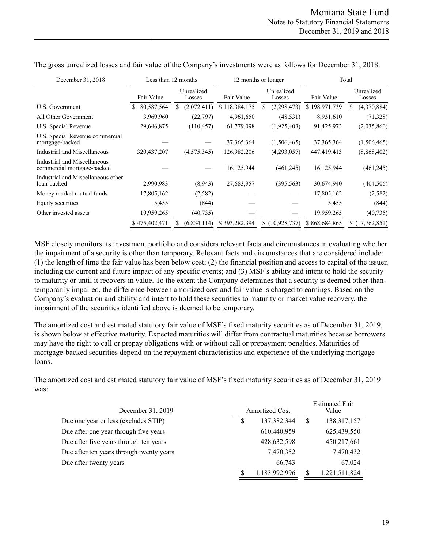| December 31, 2018                                          |                  | Less than 12 months  |               | 12 months or longer  | Total         |                      |  |  |
|------------------------------------------------------------|------------------|----------------------|---------------|----------------------|---------------|----------------------|--|--|
|                                                            | Fair Value       | Unrealized<br>Losses | Fair Value    | Unrealized<br>Losses | Fair Value    | Unrealized<br>Losses |  |  |
| U.S. Government                                            | 80,587,564<br>S. | (2,072,411)<br>\$    | \$118,384,175 | (2, 298, 473)<br>\$  | \$198,971,739 | (4,370,884)<br>S.    |  |  |
| All Other Government                                       | 3,969,960        | (22, 797)            | 4,961,650     | (48, 531)            | 8,931,610     | (71, 328)            |  |  |
| U.S. Special Revenue                                       | 29,646,875       | (110, 457)           | 61,779,098    | (1,925,403)          | 91,425,973    | (2,035,860)          |  |  |
| U.S. Special Revenue commercial<br>mortgage-backed         |                  |                      | 37, 365, 364  | (1,506,465)          | 37, 365, 364  | (1,506,465)          |  |  |
| Industrial and Miscellaneous                               | 320, 437, 207    | (4, 575, 345)        | 126,982,206   | (4,293,057)          | 447,419,413   | (8,868,402)          |  |  |
| Industrial and Miscellaneous<br>commercial mortgage-backed |                  |                      | 16,125,944    | (461, 245)           | 16,125,944    | (461, 245)           |  |  |
| Industrial and Miscellaneous other<br>loan-backed          | 2,990,983        | (8,943)              | 27,683,957    | (395, 563)           | 30,674,940    | (404, 506)           |  |  |
| Money market mutual funds                                  | 17,805,162       | (2,582)              |               |                      | 17,805,162    | (2, 582)             |  |  |
| Equity securities                                          | 5,455            | (844)                |               |                      | 5,455         | (844)                |  |  |
| Other invested assets                                      | 19,959,265       | (40, 735)            |               |                      | 19,959,265    | (40, 735)            |  |  |
|                                                            | \$475,402,471    | (6,834,114)          | \$393,282,394 | \$(10,928,737)       | \$868,684,865 | \$(17,762,851)       |  |  |

The gross unrealized losses and fair value of the Company's investments were as follows for December 31, 2018:

MSF closely monitors its investment portfolio and considers relevant facts and circumstances in evaluating whether the impairment of a security is other than temporary. Relevant facts and circumstances that are considered include: (1) the length of time the fair value has been below cost; (2) the financial position and access to capital of the issuer, including the current and future impact of any specific events; and (3) MSF's ability and intent to hold the security to maturity or until it recovers in value. To the extent the Company determines that a security is deemed other-thantemporarily impaired, the difference between amortized cost and fair value is charged to earnings. Based on the Company's evaluation and ability and intent to hold these securities to maturity or market value recovery, the impairment of the securities identified above is deemed to be temporary.

The amortized cost and estimated statutory fair value of MSF's fixed maturity securities as of December 31, 2019, is shown below at effective maturity. Expected maturities will differ from contractual maturities because borrowers may have the right to call or prepay obligations with or without call or prepayment penalties. Maturities of mortgage-backed securities depend on the repayment characteristics and experience of the underlying mortgage loans.

The amortized cost and estimated statutory fair value of MSF's fixed maturity securities as of December 31, 2019 was:

| December 31, 2019                        |        | <b>Amortized Cost</b> |   | <b>Estimated Fair</b><br>Value |
|------------------------------------------|--------|-----------------------|---|--------------------------------|
| Due one year or less (excludes STIP)     | S      | 137, 382, 344         | S | 138, 317, 157                  |
| Due after one year through five years    |        | 610,440,959           |   | 625,439,550                    |
| Due after five years through ten years   |        | 428,632,598           |   | 450,217,661                    |
| Due after ten years through twenty years |        | 7,470,352             |   | 7,470,432                      |
| Due after twenty years                   | 66,743 |                       |   | 67,024                         |
|                                          |        | 1,183,992,996         |   | 1,221,511,824                  |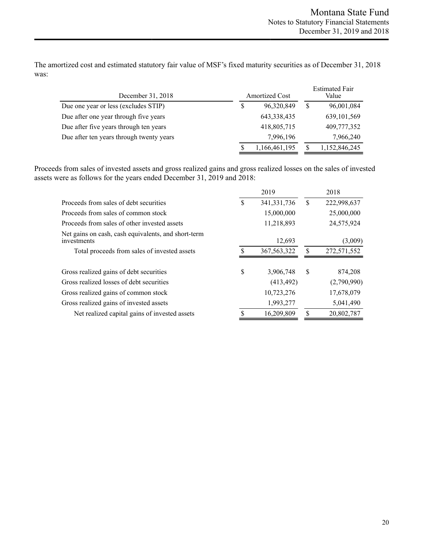The amortized cost and estimated statutory fair value of MSF's fixed maturity securities as of December 31, 2018 was:

| December 31, 2018                        | <b>Amortized Cost</b> |               |  | <b>Estimated Fair</b><br>Value |
|------------------------------------------|-----------------------|---------------|--|--------------------------------|
| Due one year or less (excludes STIP)     | S                     | 96,320,849    |  | 96,001,084                     |
| Due after one year through five years    |                       | 643, 338, 435 |  | 639, 101, 569                  |
| Due after five years through ten years   |                       | 418,805,715   |  | 409,777,352                    |
| Due after ten years through twenty years |                       | 7,996,196     |  | 7,966,240                      |
|                                          |                       | 1,166,461,195 |  | 1,152,846,245                  |

Proceeds from sales of invested assets and gross realized gains and gross realized losses on the sales of invested assets were as follows for the years ended December 31, 2019 and 2018:

|                                                                    | 2019 |               |   | 2018        |
|--------------------------------------------------------------------|------|---------------|---|-------------|
| Proceeds from sales of debt securities                             |      | 341, 331, 736 | S | 222,998,637 |
| Proceeds from sales of common stock                                |      | 15,000,000    |   | 25,000,000  |
| Proceeds from sales of other invested assets                       |      | 11,218,893    |   | 24,575,924  |
| Net gains on cash, cash equivalents, and short-term<br>investments |      | 12,693        |   | (3,009)     |
| Total proceeds from sales of invested assets                       |      | 367, 563, 322 |   | 272,571,552 |
| Gross realized gains of debt securities                            | \$   | 3,906,748     | S | 874,208     |
| Gross realized losses of debt securities                           |      | (413, 492)    |   | (2,790,990) |
| Gross realized gains of common stock                               |      | 10,723,276    |   | 17,678,079  |
| Gross realized gains of invested assets                            |      | 1,993,277     |   | 5,041,490   |
| Net realized capital gains of invested assets                      |      | 16,209,809    |   | 20,802,787  |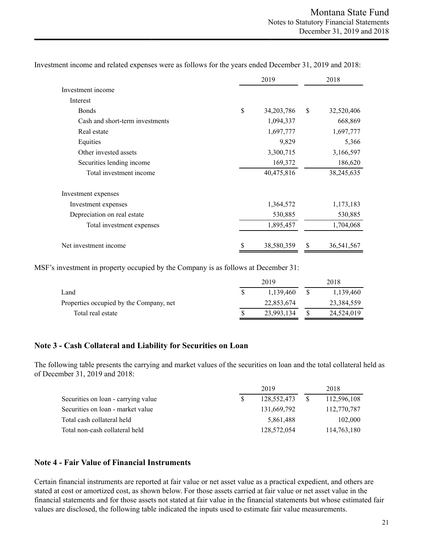|                                 |    | 2018         |           |            |  |
|---------------------------------|----|--------------|-----------|------------|--|
| Investment income               |    |              |           |            |  |
| Interest                        |    |              |           |            |  |
| <b>Bonds</b>                    | \$ | 34, 203, 786 | \$        | 32,520,406 |  |
| Cash and short-term investments |    | 1,094,337    |           | 668,869    |  |
| Real estate                     |    | 1,697,777    | 1,697,777 |            |  |
| Equities                        |    | 9,829        | 5,366     |            |  |
| Other invested assets           |    | 3,300,715    |           | 3,166,597  |  |
| Securities lending income       |    | 169,372      |           | 186,620    |  |
| Total investment income         |    | 40,475,816   |           | 38,245,635 |  |
| Investment expenses             |    |              |           |            |  |
| Investment expenses             |    | 1,364,572    |           | 1,173,183  |  |
| Depreciation on real estate     |    | 530,885      |           | 530,885    |  |
| Total investment expenses       |    | 1,895,457    |           | 1,704,068  |  |
| Net investment income           | \$ | 38,580,359   | \$        | 36,541,567 |  |

Investment income and related expenses were as follows for the years ended December 31, 2019 and 2018:

MSF's investment in property occupied by the Company is as follows at December 31:

|                                         | 2019       | 2018 |            |  |
|-----------------------------------------|------------|------|------------|--|
| Land                                    | 1,139,460  |      | 1,139,460  |  |
| Properties occupied by the Company, net | 22,853,674 |      | 23,384,559 |  |
| Total real estate                       | 23,993,134 |      | 24,524,019 |  |

### **Note 3 - Cash Collateral and Liability for Securities on Loan**

The following table presents the carrying and market values of the securities on loan and the total collateral held as of December 31, 2019 and 2018:

|                                     | 2019        | 2018        |
|-------------------------------------|-------------|-------------|
| Securities on loan - carrying value | 128,552,473 | 112,596,108 |
| Securities on loan - market value   | 131.669.792 | 112,770,787 |
| Total cash collateral held          | 5,861,488   | 102,000     |
| Total non-cash collateral held      | 128,572,054 | 114,763,180 |

### **Note 4 - Fair Value of Financial Instruments**

Certain financial instruments are reported at fair value or net asset value as a practical expedient, and others are stated at cost or amortized cost, as shown below. For those assets carried at fair value or net asset value in the financial statements and for those assets not stated at fair value in the financial statements but whose estimated fair values are disclosed, the following table indicated the inputs used to estimate fair value measurements.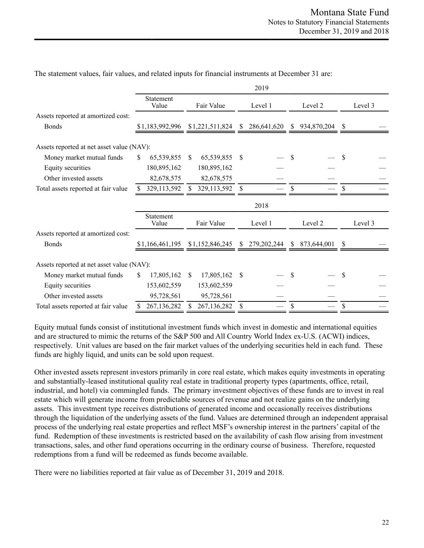|                                           |                           |                                 |               | 2019          |              |               |         |
|-------------------------------------------|---------------------------|---------------------------------|---------------|---------------|--------------|---------------|---------|
|                                           | <b>Statement</b><br>Value | Fair Value                      |               | Level 1       |              | Level 2       | Level 3 |
| Assets reported at amortized cost:        |                           |                                 |               |               |              |               |         |
| <b>Bonds</b>                              |                           | \$1,183,992,996 \$1,221,511,824 | \$            | 286,641,620   |              | \$934,870,204 |         |
| Assets reported at net asset value (NAV): |                           |                                 |               |               |              |               |         |
| Money market mutual funds                 | 65,539,855<br>\$          | 65,539,855<br><sup>S</sup>      | -S            |               | S            |               | \$      |
| Equity securities                         | 180,895,162               | 180,895,162                     |               |               |              |               |         |
| Other invested assets                     | 82,678,575                | 82,678,575                      |               |               |              |               |         |
| Total assets reported at fair value       | 329,113,592               | 329,113,592                     | \$            |               | \$           |               | \$      |
|                                           |                           |                                 |               | 2018          |              |               |         |
|                                           | Statement<br>Value        | Fair Value                      |               | Level 1       |              | Level 2       | Level 3 |
| Assets reported at amortized cost:        |                           |                                 |               |               |              |               |         |
| <b>Bonds</b>                              | \$1,166,461,195           | \$1,152,846,245                 | <sup>\$</sup> | 279, 202, 244 | <sup>S</sup> | 873,644,001   |         |
| Assets reported at net asset value (NAV): |                           |                                 |               |               |              |               |         |
| Money market mutual funds                 | 17,805,162<br>S.          | 17,805,162<br>- \$              | S             |               | S            |               | \$      |
|                                           |                           |                                 |               |               |              |               |         |
| Equity securities                         | 153,602,559               | 153,602,559                     |               |               |              |               |         |
| Other invested assets                     | 95,728,561                | 95,728,561                      |               |               |              |               |         |

The statement values, fair values, and related inputs for financial instruments at December 31 are:

Equity mutual funds consist of institutional investment funds which invest in domestic and international equities and are structured to mimic the returns of the S&P 500 and All Country World Index ex-U.S. (ACWI) indices, respectively. Unit values are based on the fair market values of the underlying securities held in each fund. These funds are highly liquid, and units can be sold upon request.

Other invested assets represent investors primarily in core real estate, which makes equity investments in operating and substantially-leased institutional quality real estate in traditional property types (apartments, office, retail, industrial, and hotel) via commingled funds. The primary investment objectives of these funds are to invest in real estate which will generate income from predictable sources of revenue and not realize gains on the underlying assets. This investment type receives distributions of generated income and occasionally receives distributions through the liquidation of the underlying assets of the fund. Values are determined through an independent appraisal process of the underlying real estate properties and reflect MSF's ownership interest in the partners' capital of the fund. Redemption of these investments is restricted based on the availability of cash flow arising from investment transactions, sales, and other fund operations occurring in the ordinary course of business. Therefore, requested redemptions from a fund will be redeemed as funds become available.

There were no liabilities reported at fair value as of December 31, 2019 and 2018.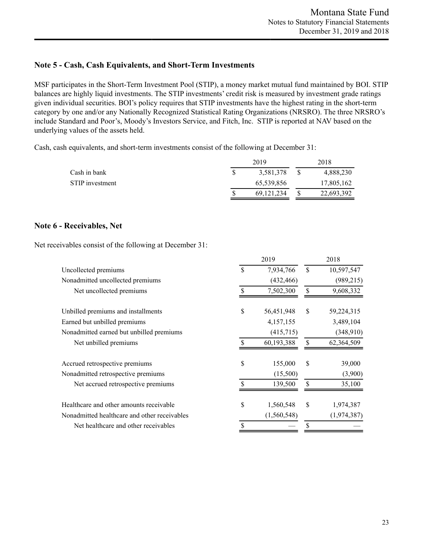## **Note 5 - Cash, Cash Equivalents, and Short-Term Investments**

MSF participates in the Short-Term Investment Pool (STIP), a money market mutual fund maintained by BOI. STIP balances are highly liquid investments. The STIP investments' credit risk is measured by investment grade ratings given individual securities. BOI's policy requires that STIP investments have the highest rating in the short-term category by one and/or any Nationally Recognized Statistical Rating Organizations (NRSRO). The three NRSRO's include Standard and Poor's, Moody's Investors Service, and Fitch, Inc. STIP is reported at NAV based on the underlying values of the assets held.

Cash, cash equivalents, and short-term investments consist of the following at December 31:

|                 | 2019 |              |  | 2018       |  |  |
|-----------------|------|--------------|--|------------|--|--|
| Cash in bank    |      | 3,581,378    |  | 4,888,230  |  |  |
| STIP investment |      | 65,539,856   |  | 17,805,162 |  |  |
|                 |      | 69, 121, 234 |  | 22,693,392 |  |  |

### **Note 6 - Receivables, Net**

Net receivables consist of the following at December 31:

|                                              | 2019          |             |              | 2018        |  |  |
|----------------------------------------------|---------------|-------------|--------------|-------------|--|--|
| Uncollected premiums                         |               | 7,934,766   | \$           | 10,597,547  |  |  |
| Nonadmitted uncollected premiums             |               | (432, 466)  |              | (989, 215)  |  |  |
| Net uncollected premiums                     | $\mathcal{S}$ | 7,502,300   | $\mathbf S$  | 9,608,332   |  |  |
| Unbilled premiums and installments           | \$            | 56,451,948  | <sup>S</sup> | 59,224,315  |  |  |
| Earned but unbilled premiums                 |               | 4,157,155   |              | 3,489,104   |  |  |
| Nonadmitted earned but unbilled premiums     |               | (415, 715)  |              | (348, 910)  |  |  |
| Net unbilled premiums                        | \$            | 60,193,388  | \$           | 62,364,509  |  |  |
| Accrued retrospective premiums               | \$            | 155,000     | \$           | 39,000      |  |  |
| Nonadmitted retrospective premiums           |               | (15,500)    |              | (3,900)     |  |  |
| Net accrued retrospective premiums           |               | 139,500     | \$           | 35,100      |  |  |
| Healthcare and other amounts receivable      | \$            | 1,560,548   | \$           | 1,974,387   |  |  |
| Nonadmitted healthcare and other receivables |               | (1,560,548) |              | (1,974,387) |  |  |
| Net healthcare and other receivables         | \$            |             | \$           |             |  |  |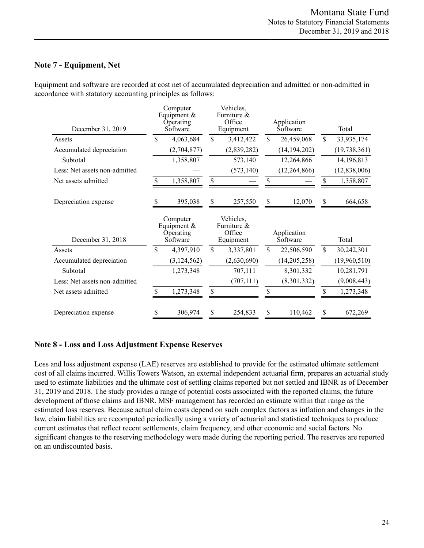## **Note 7 - Equipment, Net**

| December 31, 2019             |    | Operating<br>Software                              |             | Equipment $&$                                   |    | Vehicles,<br>Computer<br>Furniture &<br>Office<br>Equipment |              |                |  | Application<br>Software |  | Total |
|-------------------------------|----|----------------------------------------------------|-------------|-------------------------------------------------|----|-------------------------------------------------------------|--------------|----------------|--|-------------------------|--|-------|
| Assets                        | \$ | 4,063,684                                          | $\mathbf S$ | 3,412,422                                       | \$ | 26,459,068                                                  | $\mathbb{S}$ | 33,935,174     |  |                         |  |       |
| Accumulated depreciation      |    | (2,704,877)                                        |             | (2,839,282)                                     |    | (14, 194, 202)                                              |              | (19, 738, 361) |  |                         |  |       |
| Subtotal                      |    | 1,358,807                                          |             | 573,140                                         |    | 12,264,866                                                  |              | 14,196,813     |  |                         |  |       |
| Less: Net assets non-admitted |    |                                                    |             | (573, 140)                                      |    | (12, 264, 866)                                              |              | (12,838,006)   |  |                         |  |       |
| Net assets admitted           | \$ | 1,358,807                                          | \$          |                                                 | S  |                                                             | S            | 1,358,807      |  |                         |  |       |
| Depreciation expense          |    | 395,038                                            | \$          | 257,550                                         | S  | 12,070                                                      | \$           | 664,658        |  |                         |  |       |
| December 31, 2018             |    | Computer<br>Equipment $&$<br>Operating<br>Software |             | Vehicles,<br>Furniture &<br>Office<br>Equipment |    | Application<br>Software                                     |              | Total          |  |                         |  |       |
| Assets                        | \$ | 4,397,910                                          | $\mathbf S$ | 3,337,801                                       | \$ | 22,506,590                                                  | $\mathbb{S}$ | 30,242,301     |  |                         |  |       |
| Accumulated depreciation      |    | (3, 124, 562)                                      |             | (2,630,690)                                     |    | (14,205,258)                                                |              | (19,960,510)   |  |                         |  |       |
| Subtotal                      |    | 1,273,348                                          |             | 707,111                                         |    | 8,301,332                                                   |              | 10,281,791     |  |                         |  |       |
| Less: Net assets non-admitted |    |                                                    |             | (707, 111)                                      |    | (8,301,332)                                                 |              | (9,008,443)    |  |                         |  |       |
| Net assets admitted           |    | 1,273,348                                          | \$          |                                                 | \$ |                                                             | \$           | 1,273,348      |  |                         |  |       |
| Depreciation expense          |    |                                                    |             |                                                 |    |                                                             |              |                |  |                         |  |       |

Equipment and software are recorded at cost net of accumulated depreciation and admitted or non-admitted in accordance with statutory accounting principles as follows:

## **Note 8 - Loss and Loss Adjustment Expense Reserves**

Loss and loss adjustment expense (LAE) reserves are established to provide for the estimated ultimate settlement cost of all claims incurred. Willis Towers Watson, an external independent actuarial firm, prepares an actuarial study used to estimate liabilities and the ultimate cost of settling claims reported but not settled and IBNR as of December 31, 2019 and 2018. The study provides a range of potential costs associated with the reported claims, the future development of those claims and IBNR. MSF management has recorded an estimate within that range as the estimated loss reserves. Because actual claim costs depend on such complex factors as inflation and changes in the law, claim liabilities are recomputed periodically using a variety of actuarial and statistical techniques to produce current estimates that reflect recent settlements, claim frequency, and other economic and social factors. No significant changes to the reserving methodology were made during the reporting period. The reserves are reported on an undiscounted basis.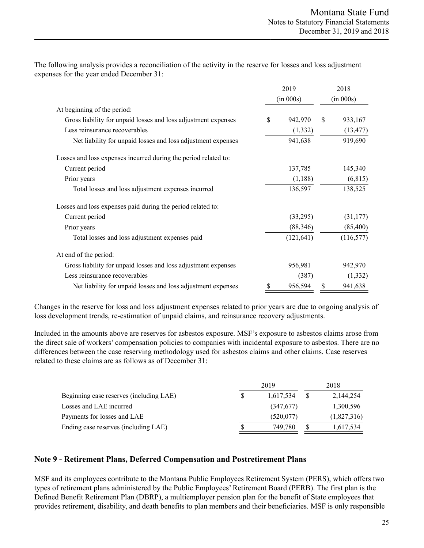The following analysis provides a reconciliation of the activity in the reserve for losses and loss adjustment expenses for the year ended December 31:

|                                                                 | 2019          | 2018 |            |  |
|-----------------------------------------------------------------|---------------|------|------------|--|
|                                                                 | (in 000s)     |      | (in 000s)  |  |
| At beginning of the period:                                     |               |      |            |  |
| Gross liability for unpaid losses and loss adjustment expenses  | \$<br>942,970 | \$   | 933,167    |  |
| Less reinsurance recoverables                                   | (1, 332)      |      | (13, 477)  |  |
| Net liability for unpaid losses and loss adjustment expenses    | 941,638       |      | 919,690    |  |
| Losses and loss expenses incurred during the period related to: |               |      |            |  |
| Current period                                                  | 137,785       |      | 145,340    |  |
| Prior years                                                     | (1,188)       |      | (6, 815)   |  |
| Total losses and loss adjustment expenses incurred              | 136,597       |      | 138,525    |  |
| Losses and loss expenses paid during the period related to:     |               |      |            |  |
| Current period                                                  | (33,295)      |      | (31, 177)  |  |
| Prior years                                                     | (88,346)      |      | (85, 400)  |  |
| Total losses and loss adjustment expenses paid                  | (121, 641)    |      | (116, 577) |  |
| At end of the period:                                           |               |      |            |  |
| Gross liability for unpaid losses and loss adjustment expenses  | 956,981       |      | 942,970    |  |
| Less reinsurance recoverables                                   | (387)         |      | (1, 332)   |  |
| Net liability for unpaid losses and loss adjustment expenses    | \$<br>956,594 | \$   | 941,638    |  |

Changes in the reserve for loss and loss adjustment expenses related to prior years are due to ongoing analysis of loss development trends, re-estimation of unpaid claims, and reinsurance recovery adjustments.

Included in the amounts above are reserves for asbestos exposure. MSF's exposure to asbestos claims arose from the direct sale of workers' compensation policies to companies with incidental exposure to asbestos. There are no differences between the case reserving methodology used for asbestos claims and other claims. Case reserves related to these claims are as follows as of December 31:

|                                         |  | 2018       |  |             |
|-----------------------------------------|--|------------|--|-------------|
| Beginning case reserves (including LAE) |  | 1,617,534  |  | 2,144,254   |
| Losses and LAE incurred                 |  | (347,677)  |  | 1,300,596   |
| Payments for losses and LAE             |  | (520, 077) |  | (1,827,316) |
| Ending case reserves (including LAE)    |  | 749.780    |  | 1,617,534   |

## **Note 9 - Retirement Plans, Deferred Compensation and Postretirement Plans**

MSF and its employees contribute to the Montana Public Employees Retirement System (PERS), which offers two types of retirement plans administered by the Public Employees' Retirement Board (PERB). The first plan is the Defined Benefit Retirement Plan (DBRP), a multiemployer pension plan for the benefit of State employees that provides retirement, disability, and death benefits to plan members and their beneficiaries. MSF is only responsible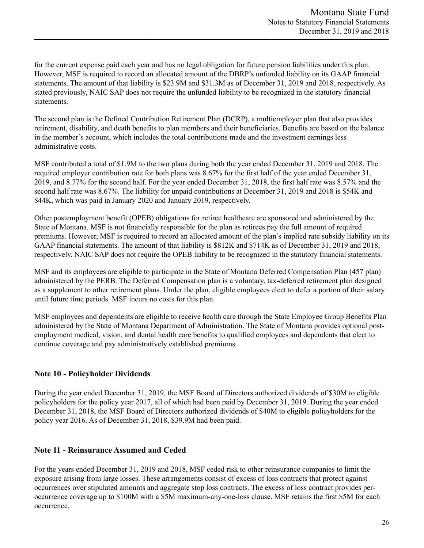for the current expense paid each year and has no legal obligation for future pension liabilities under this plan. However, MSF is required to record an allocated amount of the DBRP's unfunded liability on its GAAP financial statements. The amount of that liability is \$23.9M and \$31.3M as of December 31, 2019 and 2018, respectively. As stated previously, NAIC SAP does not require the unfunded liability to be recognized in the statutory financial statements.

The second plan is the Defined Contribution Retirement Plan (DCRP), a multiemployer plan that also provides retirement, disability, and death benefits to plan members and their beneficiaries. Benefits are based on the balance in the member's account, which includes the total contributions made and the investment earnings less administrative costs.

MSF contributed a total of \$1.9M to the two plans during both the year ended December 31, 2019 and 2018. The required employer contribution rate for both plans was 8.67% for the first half of the year ended December 31, 2019, and 8.77% for the second half. For the year ended December 31, 2018, the first half rate was 8.57% and the second half rate was 8.67%. The liability for unpaid contributions at December 31, 2019 and 2018 is \$54K and \$44K, which was paid in January 2020 and January 2019, respectively.

Other postemployment benefit (OPEB) obligations for retiree healthcare are sponsored and administered by the State of Montana. MSF is not financially responsible for the plan as retirees pay the full amount of required premiums. However, MSF is required to record an allocated amount of the plan's implied rate subsidy liability on its GAAP financial statements. The amount of that liability is \$812K and \$714K as of December 31, 2019 and 2018, respectively. NAIC SAP does not require the OPEB liability to be recognized in the statutory financial statements.

MSF and its employees are eligible to participate in the State of Montana Deferred Compensation Plan (457 plan) administered by the PERB. The Deferred Compensation plan is a voluntary, tax-deferred retirement plan designed as a supplement to other retirement plans. Under the plan, eligible employees elect to defer a portion of their salary until future time periods. MSF incurs no costs for this plan.

MSF employees and dependents are eligible to receive health care through the State Employee Group Benefits Plan administered by the State of Montana Department of Administration. The State of Montana provides optional postemployment medical, vision, and dental health care benefits to qualified employees and dependents that elect to continue coverage and pay administratively established premiums.

## **Note 10 - Policyholder Dividends**

During the year ended December 31, 2019, the MSF Board of Directors authorized dividends of \$30M to eligible policyholders for the policy year 2017, all of which had been paid by December 31, 2019. During the year ended December 31, 2018, the MSF Board of Directors authorized dividends of \$40M to eligible policyholders for the policy year 2016. As of December 31, 2018, \$39.9M had been paid.

## **Note 11 - Reinsurance Assumed and Ceded**

For the years ended December 31, 2019 and 2018, MSF ceded risk to other reinsurance companies to limit the exposure arising from large losses. These arrangements consist of excess of loss contracts that protect against occurrences over stipulated amounts and aggregate stop loss contracts. The excess of loss contract provides peroccurrence coverage up to \$100M with a \$5M maximum-any-one-loss clause. MSF retains the first \$5M for each occurrence.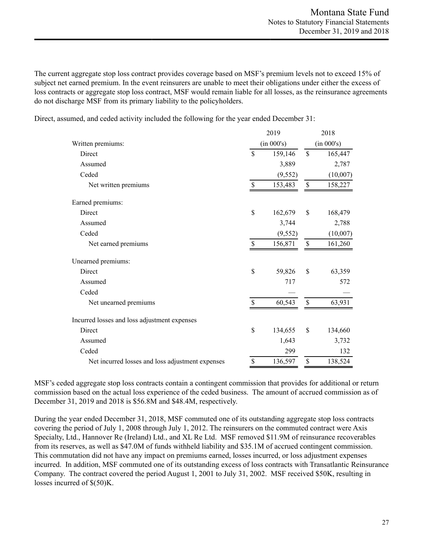The current aggregate stop loss contract provides coverage based on MSF's premium levels not to exceed 15% of subject net earned premium. In the event reinsurers are unable to meet their obligations under either the excess of loss contracts or aggregate stop loss contract, MSF would remain liable for all losses, as the reinsurance agreements do not discharge MSF from its primary liability to the policyholders.

Direct, assumed, and ceded activity included the following for the year ended December 31:

|                                                  |            | 2019     |             | 2018     |
|--------------------------------------------------|------------|----------|-------------|----------|
| Written premiums:                                | (in 000's) |          | (in 000's)  |          |
| Direct                                           | \$         | 159,146  | \$          | 165,447  |
| Assumed                                          |            | 3,889    |             | 2,787    |
| Ceded                                            |            | (9, 552) |             | (10,007) |
| Net written premiums                             | \$         | 153,483  | \$          | 158,227  |
| Earned premiums:                                 |            |          |             |          |
| Direct                                           | \$         | 162,679  | \$          | 168,479  |
| Assumed                                          |            | 3,744    |             | 2,788    |
| Ceded                                            |            | (9, 552) |             | (10,007) |
| Net earned premiums                              | \$         | 156,871  | $\mathbb S$ | 161,260  |
| Unearned premiums:                               |            |          |             |          |
| Direct                                           | \$         | 59,826   | \$          | 63,359   |
| Assumed                                          |            | 717      |             | 572      |
| Ceded                                            |            |          |             |          |
| Net unearned premiums                            | \$         | 60,543   | \$          | 63,931   |
| Incurred losses and loss adjustment expenses     |            |          |             |          |
| Direct                                           | \$         | 134,655  | \$          | 134,660  |
| Assumed                                          |            | 1,643    |             | 3,732    |
| Ceded                                            |            | 299      |             | 132      |
| Net incurred losses and loss adjustment expenses | \$         | 136,597  | \$          | 138,524  |

MSF's ceded aggregate stop loss contracts contain a contingent commission that provides for additional or return commission based on the actual loss experience of the ceded business. The amount of accrued commission as of December 31, 2019 and 2018 is \$56.8M and \$48.4M, respectively.

During the year ended December 31, 2018, MSF commuted one of its outstanding aggregate stop loss contracts covering the period of July 1, 2008 through July 1, 2012. The reinsurers on the commuted contract were Axis Specialty, Ltd., Hannover Re (Ireland) Ltd., and XL Re Ltd. MSF removed \$11.9M of reinsurance recoverables from its reserves, as well as \$47.0M of funds withheld liability and \$35.1M of accrued contingent commission. This commutation did not have any impact on premiums earned, losses incurred, or loss adjustment expenses incurred. In addition, MSF commuted one of its outstanding excess of loss contracts with Transatlantic Reinsurance Company. The contract covered the period August 1, 2001 to July 31, 2002. MSF received \$50K, resulting in losses incurred of \$(50)K.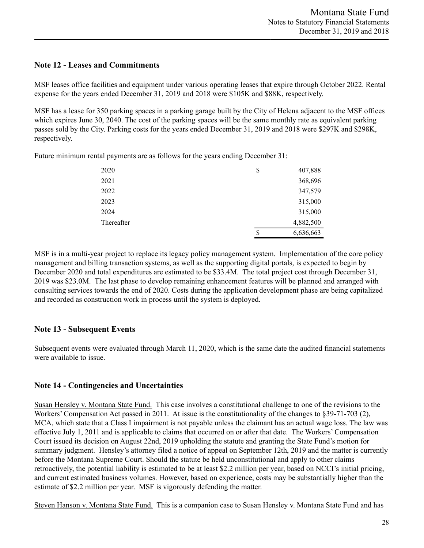### **Note 12 - Leases and Commitments**

MSF leases office facilities and equipment under various operating leases that expire through October 2022. Rental expense for the years ended December 31, 2019 and 2018 were \$105K and \$88K, respectively.

MSF has a lease for 350 parking spaces in a parking garage built by the City of Helena adjacent to the MSF offices which expires June 30, 2040. The cost of the parking spaces will be the same monthly rate as equivalent parking passes sold by the City. Parking costs for the years ended December 31, 2019 and 2018 were \$297K and \$298K, respectively.

Future minimum rental payments are as follows for the years ending December 31:

| 2020       | \$<br>407,888   |
|------------|-----------------|
| 2021       | 368,696         |
| 2022       | 347,579         |
| 2023       | 315,000         |
| 2024       | 315,000         |
| Thereafter | 4,882,500       |
|            | \$<br>6,636,663 |

MSF is in a multi-year project to replace its legacy policy management system. Implementation of the core policy management and billing transaction systems, as well as the supporting digital portals, is expected to begin by December 2020 and total expenditures are estimated to be \$33.4M. The total project cost through December 31, 2019 was \$23.0M. The last phase to develop remaining enhancement features will be planned and arranged with consulting services towards the end of 2020. Costs during the application development phase are being capitalized and recorded as construction work in process until the system is deployed.

## **Note 13 - Subsequent Events**

Subsequent events were evaluated through March 11, 2020, which is the same date the audited financial statements were available to issue.

## **Note 14 - Contingencies and Uncertainties**

Susan Hensley v. Montana State Fund. This case involves a constitutional challenge to one of the revisions to the Workers' Compensation Act passed in 2011. At issue is the constitutionality of the changes to §39-71-703 (2), MCA, which state that a Class I impairment is not payable unless the claimant has an actual wage loss. The law was effective July 1, 2011 and is applicable to claims that occurred on or after that date. The Workers' Compensation Court issued its decision on August 22nd, 2019 upholding the statute and granting the State Fund's motion for summary judgment. Hensley's attorney filed a notice of appeal on September 12th, 2019 and the matter is currently before the Montana Supreme Court. Should the statute be held unconstitutional and apply to other claims retroactively, the potential liability is estimated to be at least \$2.2 million per year, based on NCCI's initial pricing, and current estimated business volumes. However, based on experience, costs may be substantially higher than the estimate of \$2.2 million per year. MSF is vigorously defending the matter.

Steven Hanson v. Montana State Fund. This is a companion case to Susan Hensley v. Montana State Fund and has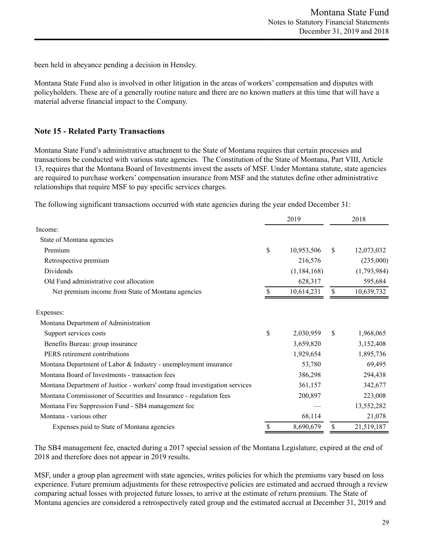been held in abeyance pending a decision in Hensley.

Montana State Fund also is involved in other litigation in the areas of workers' compensation and disputes with policyholders. These are of a generally routine nature and there are no known matters at this time that will have a material adverse financial impact to the Company.

## **Note 15 - Related Party Transactions**

Montana State Fund's administrative attachment to the State of Montana requires that certain processes and transactions be conducted with various state agencies. The Constitution of the State of Montana, Part VIII, Article 13, requires that the Montana Board of Investments invest the assets of MSF. Under Montana statute, state agencies are required to purchase workers' compensation insurance from MSF and the statutes define other administrative relationships that require MSF to pay specific services charges.

The following significant transactions occurred with state agencies during the year ended December 31:

|                                                                            | 2019 |             | 2018          |             |
|----------------------------------------------------------------------------|------|-------------|---------------|-------------|
| Income:                                                                    |      |             |               |             |
| State of Montana agencies                                                  |      |             |               |             |
| Premium                                                                    | \$   | 10,953,506  | <sup>\$</sup> | 12,073,032  |
| Retrospective premium                                                      |      | 216,576     |               | (235,000)   |
| Dividends                                                                  |      | (1,184,168) |               | (1,793,984) |
| Old Fund administrative cost allocation                                    |      | 628,317     |               | 595,684     |
| Net premium income from State of Montana agencies                          | S    | 10,614,231  | \$            | 10,639,732  |
| Expenses:                                                                  |      |             |               |             |
| Montana Department of Administration                                       |      |             |               |             |
| Support services costs                                                     | \$   | 2,030,959   | S             | 1,968,065   |
| Benefits Bureau: group insurance                                           |      | 3,659,820   |               | 3,152,408   |
| PERS retirement contributions                                              |      | 1,929,654   |               | 1,895,736   |
| Montana Department of Labor & Industry - unemployment insurance            |      | 53,780      |               | 69,495      |
| Montana Board of Investments - transaction fees                            |      | 386,298     |               | 294,438     |
| Montana Department of Justice - workers' comp fraud investigation services |      | 361,157     |               | 342,677     |
| Montana Commissioner of Securities and Insurance - regulation fees         |      | 200,897     |               | 223,008     |
| Montana Fire Suppression Fund - SB4 management fee                         |      |             |               | 13,552,282  |
| Montana - various other                                                    |      | 68,114      |               | 21,078      |
| Expenses paid to State of Montana agencies                                 | \$   | 8,690,679   | \$            | 21,519,187  |

The SB4 management fee, enacted during a 2017 special session of the Montana Legislature, expired at the end of 2018 and therefore does not appear in 2019 results.

MSF, under a group plan agreement with state agencies, writes policies for which the premiums vary based on loss experience. Future premium adjustments for these retrospective policies are estimated and accrued through a review comparing actual losses with projected future losses, to arrive at the estimate of return premium. The State of Montana agencies are considered a retrospectively rated group and the estimated accrual at December 31, 2019 and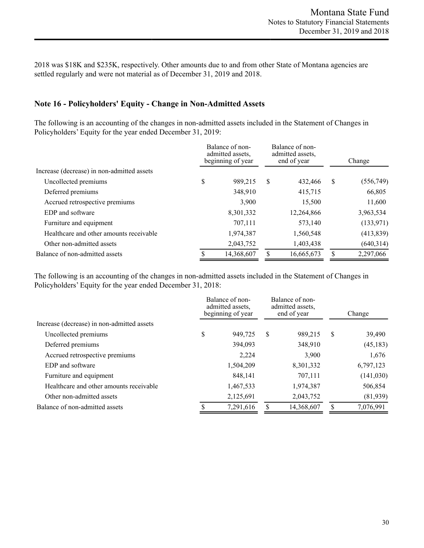2018 was \$18K and \$235K, respectively. Other amounts due to and from other State of Montana agencies are settled regularly and were not material as of December 31, 2019 and 2018.

## **Note 16 - Policyholders' Equity - Change in Non-Admitted Assets**

The following is an accounting of the changes in non-admitted assets included in the Statement of Changes in Policyholders' Equity for the year ended December 31, 2019:

|                                            | Balance of non-<br>admitted assets,<br>beginning of year | Balance of non-<br>admitted assets,<br>end of year |   | Change     |
|--------------------------------------------|----------------------------------------------------------|----------------------------------------------------|---|------------|
| Increase (decrease) in non-admitted assets |                                                          |                                                    |   |            |
| Uncollected premiums                       | \$<br>989,215                                            | \$<br>432,466                                      | S | (556,749)  |
| Deferred premiums                          | 348,910                                                  | 415,715                                            |   | 66,805     |
| Accrued retrospective premiums             | 3,900                                                    | 15,500                                             |   | 11,600     |
| EDP and software                           | 8,301,332                                                | 12,264,866                                         |   | 3,963,534  |
| Furniture and equipment                    | 707,111                                                  | 573,140                                            |   | (133, 971) |
| Healthcare and other amounts receivable    | 1,974,387                                                | 1,560,548                                          |   | (413,839)  |
| Other non-admitted assets                  | 2,043,752                                                | 1,403,438                                          |   | (640,314)  |
| Balance of non-admitted assets             | 14,368,607                                               | 16,665,673                                         |   | 2,297,066  |

The following is an accounting of the changes in non-admitted assets included in the Statement of Changes in Policyholders' Equity for the year ended December 31, 2018:

|                                            | Balance of non-<br>admitted assets.<br>beginning of year | Balance of non-<br>admitted assets.<br>end of year |   | Change     |
|--------------------------------------------|----------------------------------------------------------|----------------------------------------------------|---|------------|
| Increase (decrease) in non-admitted assets |                                                          |                                                    |   |            |
| Uncollected premiums                       | \$<br>949,725                                            | \$<br>989,215                                      | S | 39,490     |
| Deferred premiums                          | 394,093                                                  | 348,910                                            |   | (45, 183)  |
| Accrued retrospective premiums             | 2,224                                                    | 3,900                                              |   | 1,676      |
| EDP and software                           | 1,504,209                                                | 8,301,332                                          |   | 6,797,123  |
| Furniture and equipment                    | 848,141                                                  | 707,111                                            |   | (141, 030) |
| Healthcare and other amounts receivable    | 1,467,533                                                | 1,974,387                                          |   | 506,854    |
| Other non-admitted assets                  | 2,125,691                                                | 2,043,752                                          |   | (81,939)   |
| Balance of non-admitted assets             | 7,291,616                                                | 14,368,607                                         |   | 7,076,991  |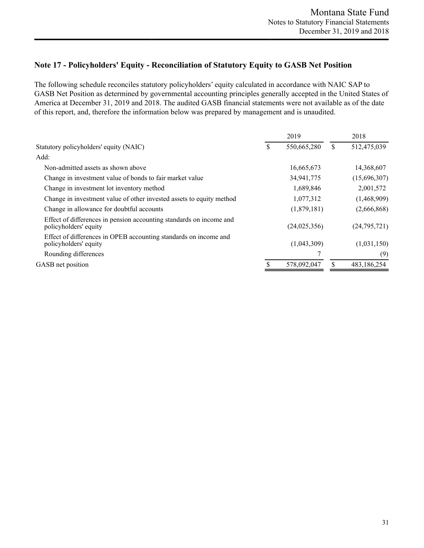## **Note 17 - Policyholders' Equity - Reconciliation of Statutory Equity to GASB Net Position**

The following schedule reconciles statutory policyholders' equity calculated in accordance with NAIC SAP to GASB Net Position as determined by governmental accounting principles generally accepted in the United States of America at December 31, 2019 and 2018. The audited GASB financial statements were not available as of the date of this report, and, therefore the information below was prepared by management and is unaudited.

|                                                                                              |   | 2019           |   | 2018           |
|----------------------------------------------------------------------------------------------|---|----------------|---|----------------|
| Statutory policyholders' equity (NAIC)                                                       | S | 550,665,280    | S | 512,475,039    |
| Add:                                                                                         |   |                |   |                |
| Non-admitted assets as shown above                                                           |   | 16,665,673     |   | 14,368,607     |
| Change in investment value of bonds to fair market value                                     |   | 34,941,775     |   | (15,696,307)   |
| Change in investment lot inventory method                                                    |   | 1,689,846      |   | 2,001,572      |
| Change in investment value of other invested assets to equity method                         |   | 1,077,312      |   | (1,468,909)    |
| Change in allowance for doubtful accounts                                                    |   | (1,879,181)    |   | (2,666,868)    |
| Effect of differences in pension accounting standards on income and<br>policyholders' equity |   | (24, 025, 356) |   | (24, 795, 721) |
| Effect of differences in OPEB accounting standards on income and<br>policyholders' equity    |   | (1,043,309)    |   | (1,031,150)    |
| Rounding differences                                                                         |   |                |   | (9)            |
| GASB net position                                                                            |   | 578,092,047    |   | 483,186,254    |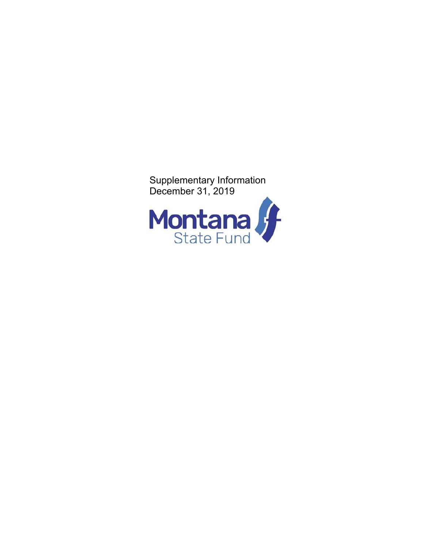

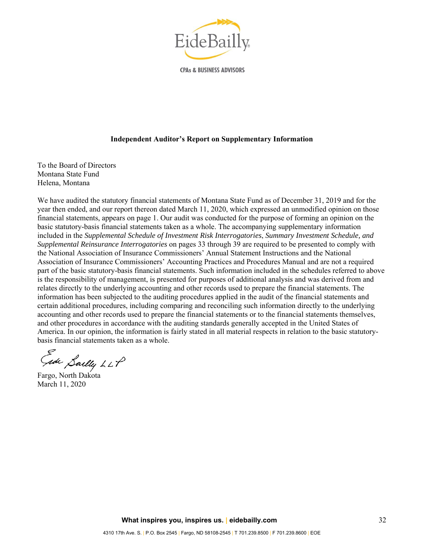

**CPAs & BUSINESS ADVISORS** 

#### **Independent Auditor's Report on Supplementary Information**

To the Board of Directors Montana State Fund Helena, Montana

We have audited the statutory financial statements of Montana State Fund as of December 31, 2019 and for the year then ended, and our report thereon dated March 11, 2020, which expressed an unmodified opinion on those financial statements, appears on page 1. Our audit was conducted for the purpose of forming an opinion on the basic statutory-basis financial statements taken as a whole. The accompanying supplementary information included in the *Supplemental Schedule of Investment Risk Interrogatories*, *Summary Investment Schedule, and Supplemental Reinsurance Interrogatories* on pages 33 through 39 are required to be presented to comply with the National Association of Insurance Commissioners' Annual Statement Instructions and the National Association of Insurance Commissioners' Accounting Practices and Procedures Manual and are not a required part of the basic statutory-basis financial statements. Such information included in the schedules referred to above is the responsibility of management, is presented for purposes of additional analysis and was derived from and relates directly to the underlying accounting and other records used to prepare the financial statements. The information has been subjected to the auditing procedures applied in the audit of the financial statements and certain additional procedures, including comparing and reconciling such information directly to the underlying accounting and other records used to prepare the financial statements or to the financial statements themselves, and other procedures in accordance with the auditing standards generally accepted in the United States of America. In our opinion, the information is fairly stated in all material respects in relation to the basic statutorybasis financial statements taken as a whole.

Gade Saelly LLP

Fargo, North Dakota March 11, 2020

 **What inspires you, inspires us. | eidebailly.com** 32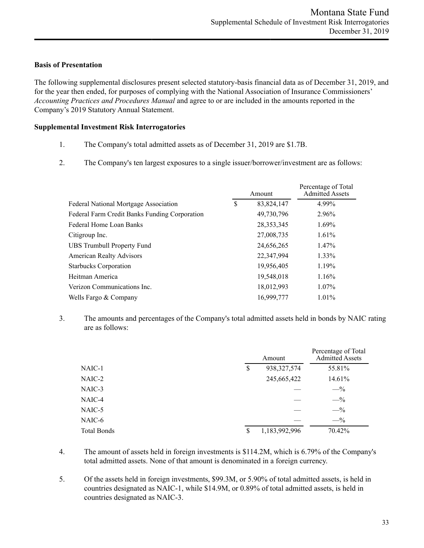### **Basis of Presentation**

The following supplemental disclosures present selected statutory-basis financial data as of December 31, 2019, and for the year then ended, for purposes of complying with the National Association of Insurance Commissioners' *Accounting Practices and Procedures Manual* and agree to or are included in the amounts reported in the Company's 2019 Statutory Annual Statement.

### **Supplemental Investment Risk Interrogatories**

- 1. The Company's total admitted assets as of December 31, 2019 are \$1.7B.
- 2. The Company's ten largest exposures to a single issuer/borrower/investment are as follows:

|                                               |    | Amount       | Percentage of Total<br><b>Admitted Assets</b> |
|-----------------------------------------------|----|--------------|-----------------------------------------------|
| <b>Federal National Mortgage Association</b>  | \$ | 83, 824, 147 | 4.99%                                         |
| Federal Farm Credit Banks Funding Corporation |    | 49,730,796   | 2.96%                                         |
| Federal Home Loan Banks                       |    | 28, 353, 345 | 1.69%                                         |
| Citigroup Inc.                                |    | 27,008,735   | $1.61\%$                                      |
| <b>UBS Trumbull Property Fund</b>             |    | 24,656,265   | 1.47%                                         |
| <b>American Realty Advisors</b>               |    | 22,347,994   | 1.33%                                         |
| <b>Starbucks Corporation</b>                  |    | 19,956,405   | 1.19%                                         |
| Heitman America                               |    | 19,548,018   | 1.16%                                         |
| Verizon Communications Inc.                   |    | 18,012,993   | $1.07\%$                                      |
| Wells Fargo & Company                         |    | 16,999,777   | $1.01\%$                                      |

3. The amounts and percentages of the Company's total admitted assets held in bonds by NAIC rating are as follows:

|                    | Amount              | Percentage of Total<br><b>Admitted Assets</b> |
|--------------------|---------------------|-----------------------------------------------|
| $NAIC-1$           | \$<br>938, 327, 574 | 55.81%                                        |
| NAIC-2             | 245,665,422         | 14.61%                                        |
| NAIC-3             |                     | $-$ %                                         |
| NAIC-4             |                     | $-$ %                                         |
| NAIC-5             |                     | $-$ %                                         |
| NAIC-6             |                     | $-$ %                                         |
| <b>Total Bonds</b> | \$<br>1,183,992,996 | 70.42%                                        |

- 4. The amount of assets held in foreign investments is \$114.2M, which is 6.79% of the Company's total admitted assets. None of that amount is denominated in a foreign currency.
- 5. Of the assets held in foreign investments, \$99.3M, or 5.90% of total admitted assets, is held in countries designated as NAIC-1, while \$14.9M, or 0.89% of total admitted assets, is held in countries designated as NAIC-3.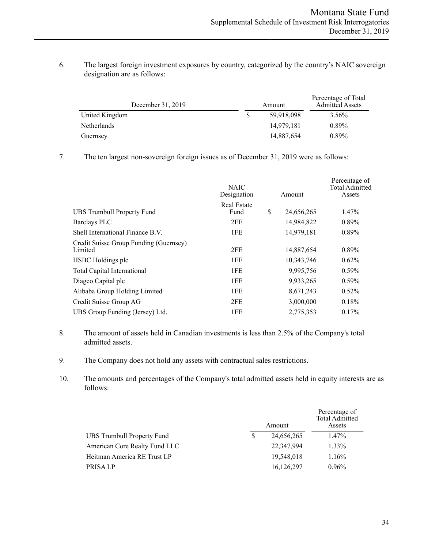6. The largest foreign investment exposures by country, categorized by the country's NAIC sovereign designation are as follows:

| December 31, 2019  | Amount     | Percentage of Total<br><b>Admitted Assets</b> |
|--------------------|------------|-----------------------------------------------|
| United Kingdom     | 59,918,098 | 3.56%                                         |
| <b>Netherlands</b> | 14,979,181 | $0.89\%$                                      |
| Guernsey           | 14,887,654 | $0.89\%$                                      |

7. The ten largest non-sovereign foreign issues as of December 31, 2019 were as follows:

|                                                   | <b>NAIC</b><br>Designation | Amount           | Percentage of<br><b>Total Admitted</b><br>Assets |
|---------------------------------------------------|----------------------------|------------------|--------------------------------------------------|
| UBS Trumbull Property Fund                        | <b>Real Estate</b><br>Fund | \$<br>24,656,265 | $1.47\%$                                         |
|                                                   |                            |                  |                                                  |
| Barclays PLC                                      | 2FE                        | 14,984,822       | 0.89%                                            |
| Shell International Finance B.V.                  | 1FE                        | 14,979,181       | 0.89%                                            |
| Credit Suisse Group Funding (Guernsey)<br>Limited | 2FE                        | 14,887,654       | 0.89%                                            |
| <b>HSBC</b> Holdings plc                          | 1FE                        | 10,343,746       | 0.62%                                            |
| <b>Total Capital International</b>                | 1FE                        | 9,995,756        | $0.59\%$                                         |
| Diageo Capital plc                                | 1FE                        | 9,933,265        | $0.59\%$                                         |
| Alibaba Group Holding Limited                     | 1FE                        | 8,671,243        | 0.52%                                            |
| Credit Suisse Group AG                            | 2FE                        | 3,000,000        | 0.18%                                            |
| UBS Group Funding (Jersey) Ltd.                   | 1FE                        | 2,775,353        | 0.17%                                            |

- 8. The amount of assets held in Canadian investments is less than 2.5% of the Company's total admitted assets.
- 9. The Company does not hold any assets with contractual sales restrictions.
- 10. The amounts and percentages of the Company's total admitted assets held in equity interests are as follows:

|                                   | Amount       | Percentage of<br><b>Total Admitted</b><br>Assets |
|-----------------------------------|--------------|--------------------------------------------------|
| <b>UBS Trumbull Property Fund</b> | 24,656,265   | 1.47%                                            |
| American Core Realty Fund LLC     | 22,347,994   | 1.33%                                            |
| Heitman America RE Trust LP       | 19,548,018   | 1.16%                                            |
| PRISA LP                          | 16, 126, 297 | $0.96\%$                                         |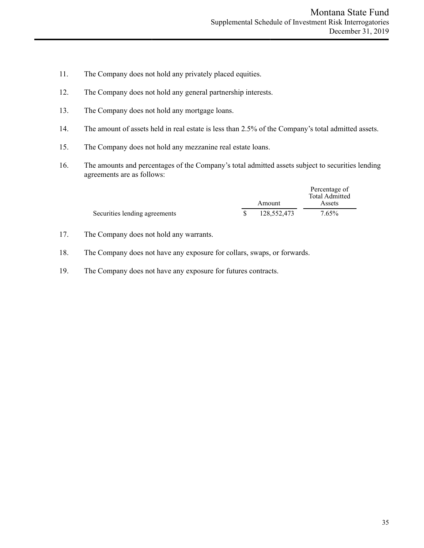- 11. The Company does not hold any privately placed equities.
- 12. The Company does not hold any general partnership interests.
- 13. The Company does not hold any mortgage loans.
- 14. The amount of assets held in real estate is less than 2.5% of the Company's total admitted assets.
- 15. The Company does not hold any mezzanine real estate loans.
- 16. The amounts and percentages of the Company's total admitted assets subject to securities lending agreements are as follows:

|                               |             | Percentage of<br><b>Total Admitted</b> |
|-------------------------------|-------------|----------------------------------------|
|                               | Amount      | Assets                                 |
| Securities lending agreements | 128,552,473 | 7.65%                                  |

- 17. The Company does not hold any warrants.
- 18. The Company does not have any exposure for collars, swaps, or forwards.
- 19. The Company does not have any exposure for futures contracts.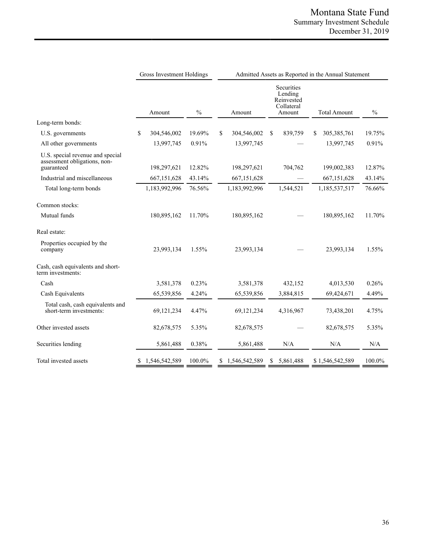|                                                                                | <b>Gross Investment Holdings</b> |               |        | Admitted Assets as Reported in the Annual Statement |               |    |                                                             |                     |               |
|--------------------------------------------------------------------------------|----------------------------------|---------------|--------|-----------------------------------------------------|---------------|----|-------------------------------------------------------------|---------------------|---------------|
|                                                                                |                                  | Amount        | $\%$   |                                                     | Amount        |    | Securities<br>Lending<br>Reinvested<br>Collateral<br>Amount | <b>Total Amount</b> | $\frac{0}{0}$ |
| Long-term bonds:                                                               |                                  |               |        |                                                     |               |    |                                                             |                     |               |
| U.S. governments                                                               | \$                               | 304,546,002   | 19.69% | S                                                   | 304,546,002   | \$ | 839,759                                                     | 305, 385, 761<br>S  | 19.75%        |
| All other governments                                                          |                                  | 13,997,745    | 0.91%  |                                                     | 13,997,745    |    |                                                             | 13,997,745          | 0.91%         |
| U.S. special revenue and special<br>assessment obligations, non-<br>guaranteed |                                  | 198,297,621   | 12.82% |                                                     | 198,297,621   |    | 704,762                                                     | 199,002,383         | 12.87%        |
| Industrial and miscellaneous                                                   |                                  | 667,151,628   | 43.14% |                                                     | 667,151,628   |    |                                                             | 667,151,628         | 43.14%        |
| Total long-term bonds                                                          |                                  | 1,183,992,996 | 76.56% |                                                     | 1,183,992,996 |    | 1,544,521                                                   | 1,185,537,517       | 76.66%        |
| Common stocks:                                                                 |                                  |               |        |                                                     |               |    |                                                             |                     |               |
| Mutual funds                                                                   |                                  | 180,895,162   | 11.70% |                                                     | 180,895,162   |    |                                                             | 180,895,162         | 11.70%        |
| Real estate:                                                                   |                                  |               |        |                                                     |               |    |                                                             |                     |               |
| Properties occupied by the<br>company                                          |                                  | 23,993,134    | 1.55%  |                                                     | 23,993,134    |    |                                                             | 23,993,134          | 1.55%         |
| Cash, cash equivalents and short-<br>term investments:                         |                                  |               |        |                                                     |               |    |                                                             |                     |               |
| Cash                                                                           |                                  | 3,581,378     | 0.23%  |                                                     | 3,581,378     |    | 432,152                                                     | 4,013,530           | 0.26%         |
| Cash Equivalents                                                               |                                  | 65,539,856    | 4.24%  |                                                     | 65,539,856    |    | 3,884,815                                                   | 69,424,671          | 4.49%         |
| Total cash, cash equivalents and<br>short-term investments:                    |                                  | 69, 121, 234  | 4.47%  |                                                     | 69, 121, 234  |    | 4,316,967                                                   | 73,438,201          | 4.75%         |
| Other invested assets                                                          |                                  | 82,678,575    | 5.35%  |                                                     | 82,678,575    |    |                                                             | 82,678,575          | 5.35%         |
| Securities lending                                                             |                                  | 5,861,488     | 0.38%  |                                                     | 5,861,488     |    | N/A                                                         | N/A                 | N/A           |
| Total invested assets                                                          | S                                | 1,546,542,589 | 100.0% | S                                                   | 1,546,542,589 | \$ | 5,861,488                                                   | \$1,546,542,589     | 100.0%        |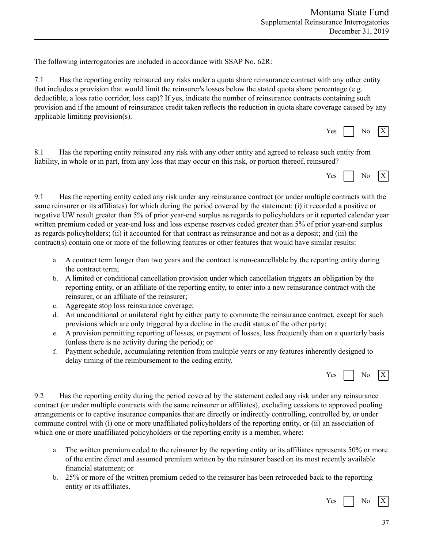The following interrogatories are included in accordance with SSAP No. 62R:

7.1 Has the reporting entity reinsured any risks under a quota share reinsurance contract with any other entity that includes a provision that would limit the reinsurer's losses below the stated quota share percentage (e.g. deductible, a loss ratio corridor, loss cap)? If yes, indicate the number of reinsurance contracts containing such provision and if the amount of reinsurance credit taken reflects the reduction in quota share coverage caused by any applicable limiting provision(s).

| Yes |  | N٥ | X |  |
|-----|--|----|---|--|
|-----|--|----|---|--|

8.1 Has the reporting entity reinsured any risk with any other entity and agreed to release such entity from liability, in whole or in part, from any loss that may occur on this risk, or portion thereof, reinsured?



9.1 Has the reporting entity ceded any risk under any reinsurance contract (or under multiple contracts with the same reinsurer or its affiliates) for which during the period covered by the statement: (i) it recorded a positive or negative UW result greater than 5% of prior year-end surplus as regards to policyholders or it reported calendar year written premium ceded or year-end loss and loss expense reserves ceded greater than 5% of prior year-end surplus as regards policyholders; (ii) it accounted for that contract as reinsurance and not as a deposit; and (iii) the contract(s) contain one or more of the following features or other features that would have similar results:

- a. A contract term longer than two years and the contract is non-cancellable by the reporting entity during the contract term;
- b. A limited or conditional cancellation provision under which cancellation triggers an obligation by the reporting entity, or an affiliate of the reporting entity, to enter into a new reinsurance contract with the reinsurer, or an affiliate of the reinsurer;
- c. Aggregate stop loss reinsurance coverage;
- d. An unconditional or unilateral right by either party to commute the reinsurance contract, except for such provisions which are only triggered by a decline in the credit status of the other party;
- e. A provision permitting reporting of losses, or payment of losses, less frequently than on a quarterly basis (unless there is no activity during the period); or
- f. Payment schedule, accumulating retention from multiple years or any features inherently designed to delay timing of the reimbursement to the ceding entity.



9.2 Has the reporting entity during the period covered by the statement ceded any risk under any reinsurance contract (or under multiple contracts with the same reinsurer or affiliates), excluding cessions to approved pooling arrangements or to captive insurance companies that are directly or indirectly controlling, controlled by, or under commune control with (i) one or more unaffiliated policyholders of the reporting entity, or (ii) an association of which one or more unaffiliated policyholders or the reporting entity is a member, where:

- a. The written premium ceded to the reinsurer by the reporting entity or its affiliates represents 50% or more of the entire direct and assumed premium written by the reinsurer based on its most recently available financial statement; or
- b. 25% or more of the written premium ceded to the reinsurer has been retroceded back to the reporting entity or its affiliates.

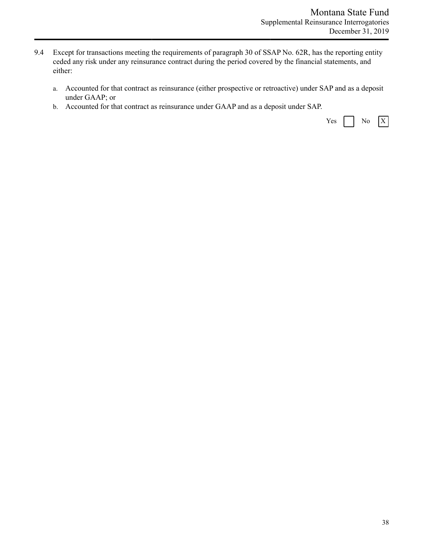- 9.4 Except for transactions meeting the requirements of paragraph 30 of SSAP No. 62R, has the reporting entity ceded any risk under any reinsurance contract during the period covered by the financial statements, and either:
	- a. Accounted for that contract as reinsurance (either prospective or retroactive) under SAP and as a deposit under GAAP; or
	- b. Accounted for that contract as reinsurance under GAAP and as a deposit under SAP.

| $-1$ |  |  |
|------|--|--|